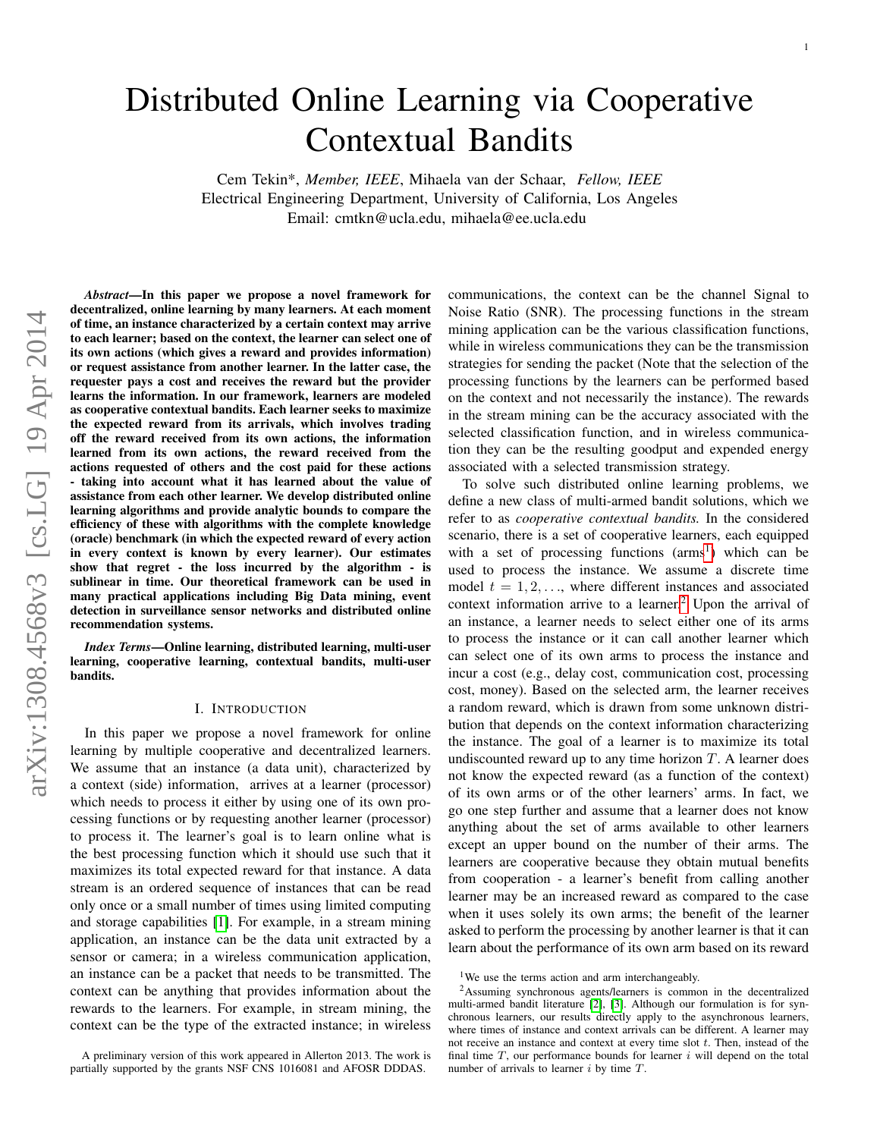Cem Tekin\*, *Member, IEEE*, Mihaela van der Schaar, *Fellow, IEEE* Electrical Engineering Department, University of California, Los Angeles Email: cmtkn@ucla.edu, mihaela@ee.ucla.edu

*Abstract*—In this paper we propose a novel framework for decentralized, online learning by many learners. At each moment of time, an instance characterized by a certain context may arrive to each learner; based on the context, the learner can select one of its own actions (which gives a reward and provides information) or request assistance from another learner. In the latter case, the requester pays a cost and receives the reward but the provider learns the information. In our framework, learners are modeled as cooperative contextual bandits. Each learner seeks to maximize the expected reward from its arrivals, which involves trading off the reward received from its own actions, the information learned from its own actions, the reward received from the actions requested of others and the cost paid for these actions - taking into account what it has learned about the value of assistance from each other learner. We develop distributed online learning algorithms and provide analytic bounds to compare the efficiency of these with algorithms with the complete knowledge (oracle) benchmark (in which the expected reward of every action in every context is known by every learner). Our estimates show that regret - the loss incurred by the algorithm - is sublinear in time. Our theoretical framework can be used in many practical applications including Big Data mining, event detection in surveillance sensor networks and distributed online recommendation systems.

*Index Terms*—Online learning, distributed learning, multi-user learning, cooperative learning, contextual bandits, multi-user bandits.

#### I. INTRODUCTION

In this paper we propose a novel framework for online learning by multiple cooperative and decentralized learners. We assume that an instance (a data unit), characterized by a context (side) information, arrives at a learner (processor) which needs to process it either by using one of its own processing functions or by requesting another learner (processor) to process it. The learner's goal is to learn online what is the best processing function which it should use such that it maximizes its total expected reward for that instance. A data stream is an ordered sequence of instances that can be read only once or a small number of times using limited computing and storage capabilities [\[1\]](#page-15-0). For example, in a stream mining application, an instance can be the data unit extracted by a sensor or camera; in a wireless communication application, an instance can be a packet that needs to be transmitted. The context can be anything that provides information about the rewards to the learners. For example, in stream mining, the context can be the type of the extracted instance; in wireless

A preliminary version of this work appeared in Allerton 2013. The work is partially supported by the grants NSF CNS 1016081 and AFOSR DDDAS.

communications, the context can be the channel Signal to Noise Ratio (SNR). The processing functions in the stream mining application can be the various classification functions, while in wireless communications they can be the transmission strategies for sending the packet (Note that the selection of the processing functions by the learners can be performed based on the context and not necessarily the instance). The rewards in the stream mining can be the accuracy associated with the selected classification function, and in wireless communication they can be the resulting goodput and expended energy associated with a selected transmission strategy.

To solve such distributed online learning problems, we define a new class of multi-armed bandit solutions, which we refer to as *cooperative contextual bandits.* In the considered scenario, there is a set of cooperative learners, each equipped with a set of processing functions  $(arms<sup>1</sup>)$  $(arms<sup>1</sup>)$  $(arms<sup>1</sup>)$  which can be used to process the instance. We assume a discrete time model  $t = 1, 2, \ldots$ , where different instances and associated context information arrive to a learner.<sup>[2](#page-0-1)</sup> Upon the arrival of an instance, a learner needs to select either one of its arms to process the instance or it can call another learner which can select one of its own arms to process the instance and incur a cost (e.g., delay cost, communication cost, processing cost, money). Based on the selected arm, the learner receives a random reward, which is drawn from some unknown distribution that depends on the context information characterizing the instance. The goal of a learner is to maximize its total undiscounted reward up to any time horizon  $T$ . A learner does not know the expected reward (as a function of the context) of its own arms or of the other learners' arms. In fact, we go one step further and assume that a learner does not know anything about the set of arms available to other learners except an upper bound on the number of their arms. The learners are cooperative because they obtain mutual benefits from cooperation - a learner's benefit from calling another learner may be an increased reward as compared to the case when it uses solely its own arms; the benefit of the learner asked to perform the processing by another learner is that it can learn about the performance of its own arm based on its reward

<span id="page-0-1"></span><span id="page-0-0"></span><sup>&</sup>lt;sup>1</sup>We use the terms action and arm interchangeably.

<sup>2</sup>Assuming synchronous agents/learners is common in the decentralized multi-armed bandit literature [\[2\]](#page-15-1), [\[3\]](#page-15-2). Although our formulation is for synchronous learners, our results directly apply to the asynchronous learners, where times of instance and context arrivals can be different. A learner may not receive an instance and context at every time slot  $t$ . Then, instead of the final time  $T$ , our performance bounds for learner  $i$  will depend on the total number of arrivals to learner  $i$  by time  $T$ .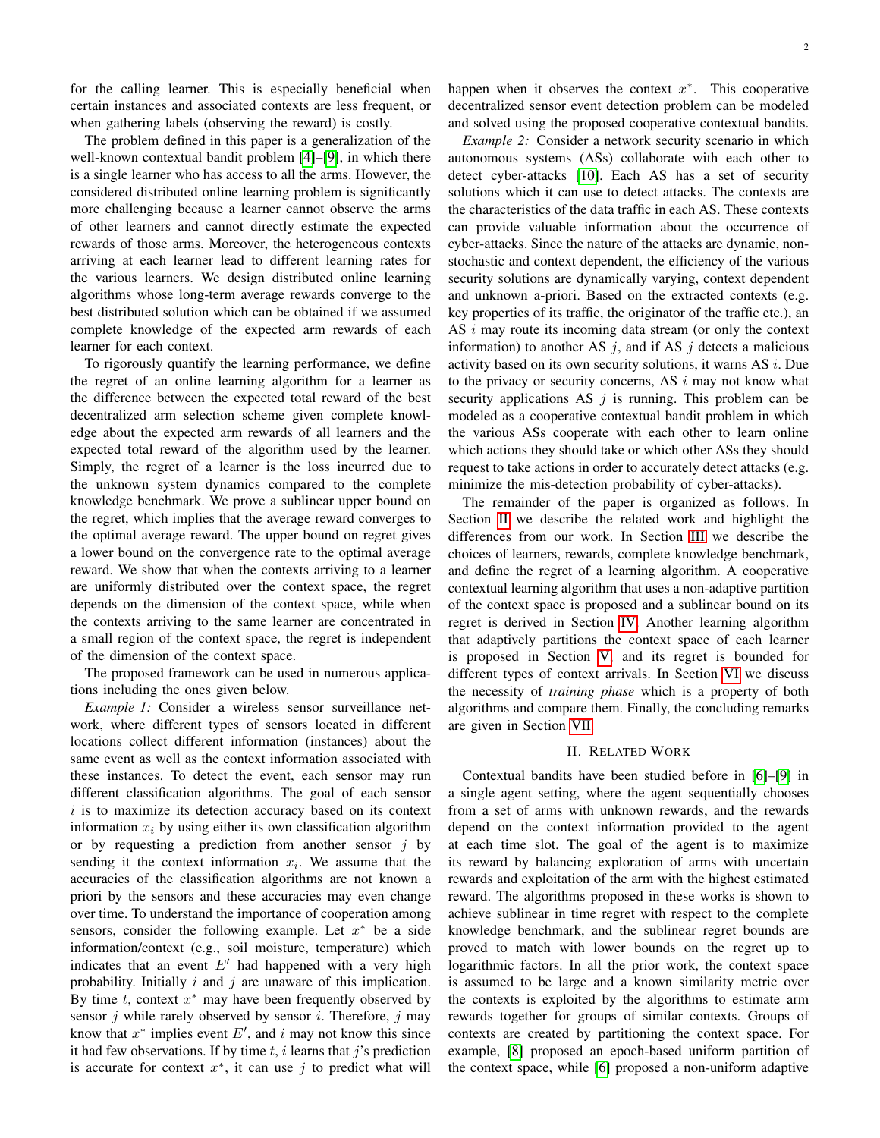for the calling learner. This is especially beneficial when certain instances and associated contexts are less frequent, or when gathering labels (observing the reward) is costly.

The problem defined in this paper is a generalization of the well-known contextual bandit problem [\[4\]](#page-15-3)–[\[9\]](#page-15-4), in which there is a single learner who has access to all the arms. However, the considered distributed online learning problem is significantly more challenging because a learner cannot observe the arms of other learners and cannot directly estimate the expected rewards of those arms. Moreover, the heterogeneous contexts arriving at each learner lead to different learning rates for the various learners. We design distributed online learning algorithms whose long-term average rewards converge to the best distributed solution which can be obtained if we assumed complete knowledge of the expected arm rewards of each learner for each context.

To rigorously quantify the learning performance, we define the regret of an online learning algorithm for a learner as the difference between the expected total reward of the best decentralized arm selection scheme given complete knowledge about the expected arm rewards of all learners and the expected total reward of the algorithm used by the learner. Simply, the regret of a learner is the loss incurred due to the unknown system dynamics compared to the complete knowledge benchmark. We prove a sublinear upper bound on the regret, which implies that the average reward converges to the optimal average reward. The upper bound on regret gives a lower bound on the convergence rate to the optimal average reward. We show that when the contexts arriving to a learner are uniformly distributed over the context space, the regret depends on the dimension of the context space, while when the contexts arriving to the same learner are concentrated in a small region of the context space, the regret is independent of the dimension of the context space.

The proposed framework can be used in numerous applications including the ones given below.

*Example 1:* Consider a wireless sensor surveillance network, where different types of sensors located in different locations collect different information (instances) about the same event as well as the context information associated with these instances. To detect the event, each sensor may run different classification algorithms. The goal of each sensor  $i$  is to maximize its detection accuracy based on its context information  $x_i$  by using either its own classification algorithm or by requesting a prediction from another sensor  $j$  by sending it the context information  $x_i$ . We assume that the accuracies of the classification algorithms are not known a priori by the sensors and these accuracies may even change over time. To understand the importance of cooperation among sensors, consider the following example. Let  $x^*$  be a side information/context (e.g., soil moisture, temperature) which indicates that an event  $E'$  had happened with a very high probability. Initially  $i$  and  $j$  are unaware of this implication. By time  $t$ , context  $x^*$  may have been frequently observed by sensor  $j$  while rarely observed by sensor  $i$ . Therefore,  $j$  may know that  $x^*$  implies event  $E'$ , and i may not know this since it had few observations. If by time  $t$ ,  $i$  learns that  $j$ 's prediction is accurate for context  $x^*$ , it can use j to predict what will

happen when it observes the context  $x^*$ . This cooperative decentralized sensor event detection problem can be modeled and solved using the proposed cooperative contextual bandits.

*Example 2:* Consider a network security scenario in which autonomous systems (ASs) collaborate with each other to detect cyber-attacks [\[10\]](#page-16-0). Each AS has a set of security solutions which it can use to detect attacks. The contexts are the characteristics of the data traffic in each AS. These contexts can provide valuable information about the occurrence of cyber-attacks. Since the nature of the attacks are dynamic, nonstochastic and context dependent, the efficiency of the various security solutions are dynamically varying, context dependent and unknown a-priori. Based on the extracted contexts (e.g. key properties of its traffic, the originator of the traffic etc.), an AS  $i$  may route its incoming data stream (or only the context information) to another AS  $j$ , and if AS  $j$  detects a malicious activity based on its own security solutions, it warns AS i. Due to the privacy or security concerns, AS  $i$  may not know what security applications AS  $j$  is running. This problem can be modeled as a cooperative contextual bandit problem in which the various ASs cooperate with each other to learn online which actions they should take or which other ASs they should request to take actions in order to accurately detect attacks (e.g. minimize the mis-detection probability of cyber-attacks).

The remainder of the paper is organized as follows. In Section [II](#page-1-0) we describe the related work and highlight the differences from our work. In Section [III](#page-2-0) we describe the choices of learners, rewards, complete knowledge benchmark, and define the regret of a learning algorithm. A cooperative contextual learning algorithm that uses a non-adaptive partition of the context space is proposed and a sublinear bound on its regret is derived in Section [IV.](#page-4-0) Another learning algorithm that adaptively partitions the context space of each learner is proposed in Section [V,](#page-9-0) and its regret is bounded for different types of context arrivals. In Section [VI](#page-12-0) we discuss the necessity of *training phase* which is a property of both algorithms and compare them. Finally, the concluding remarks are given in Section [VII.](#page-15-5)

#### II. RELATED WORK

<span id="page-1-0"></span>Contextual bandits have been studied before in [\[6\]](#page-15-6)–[\[9\]](#page-15-4) in a single agent setting, where the agent sequentially chooses from a set of arms with unknown rewards, and the rewards depend on the context information provided to the agent at each time slot. The goal of the agent is to maximize its reward by balancing exploration of arms with uncertain rewards and exploitation of the arm with the highest estimated reward. The algorithms proposed in these works is shown to achieve sublinear in time regret with respect to the complete knowledge benchmark, and the sublinear regret bounds are proved to match with lower bounds on the regret up to logarithmic factors. In all the prior work, the context space is assumed to be large and a known similarity metric over the contexts is exploited by the algorithms to estimate arm rewards together for groups of similar contexts. Groups of contexts are created by partitioning the context space. For example, [\[8\]](#page-15-7) proposed an epoch-based uniform partition of the context space, while [\[6\]](#page-15-6) proposed a non-uniform adaptive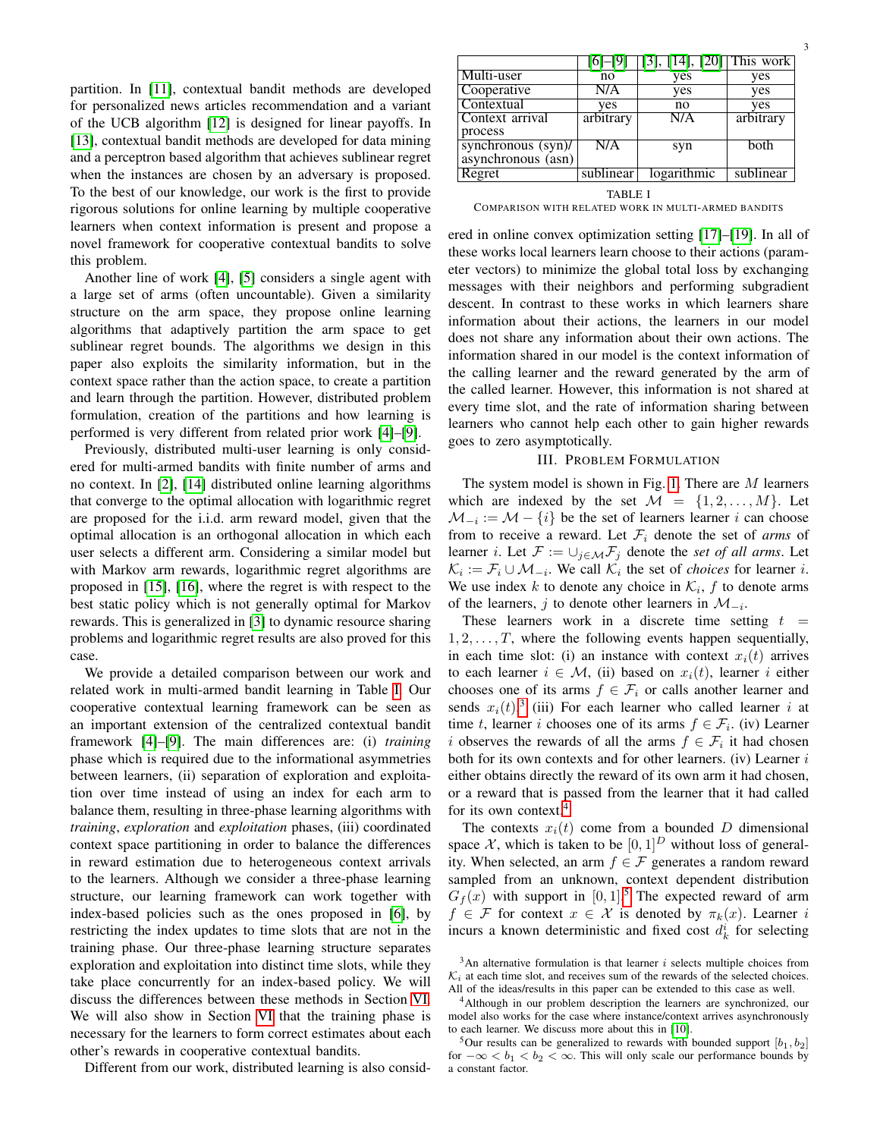partition. In [\[11\]](#page-16-1), contextual bandit methods are developed for personalized news articles recommendation and a variant of the UCB algorithm [\[12\]](#page-16-2) is designed for linear payoffs. In [\[13\]](#page-16-3), contextual bandit methods are developed for data mining and a perceptron based algorithm that achieves sublinear regret when the instances are chosen by an adversary is proposed. To the best of our knowledge, our work is the first to provide rigorous solutions for online learning by multiple cooperative learners when context information is present and propose a novel framework for cooperative contextual bandits to solve this problem.

Another line of work [\[4\]](#page-15-3), [\[5\]](#page-15-8) considers a single agent with a large set of arms (often uncountable). Given a similarity structure on the arm space, they propose online learning algorithms that adaptively partition the arm space to get sublinear regret bounds. The algorithms we design in this paper also exploits the similarity information, but in the context space rather than the action space, to create a partition and learn through the partition. However, distributed problem formulation, creation of the partitions and how learning is performed is very different from related prior work [\[4\]](#page-15-3)–[\[9\]](#page-15-4).

Previously, distributed multi-user learning is only considered for multi-armed bandits with finite number of arms and no context. In [\[2\]](#page-15-1), [\[14\]](#page-16-4) distributed online learning algorithms that converge to the optimal allocation with logarithmic regret are proposed for the i.i.d. arm reward model, given that the optimal allocation is an orthogonal allocation in which each user selects a different arm. Considering a similar model but with Markov arm rewards, logarithmic regret algorithms are proposed in [\[15\]](#page-16-5), [\[16\]](#page-16-6), where the regret is with respect to the best static policy which is not generally optimal for Markov rewards. This is generalized in [\[3\]](#page-15-2) to dynamic resource sharing problems and logarithmic regret results are also proved for this case.

We provide a detailed comparison between our work and related work in multi-armed bandit learning in Table [I.](#page-2-1) Our cooperative contextual learning framework can be seen as an important extension of the centralized contextual bandit framework [\[4\]](#page-15-3)–[\[9\]](#page-15-4). The main differences are: (i) *training* phase which is required due to the informational asymmetries between learners, (ii) separation of exploration and exploitation over time instead of using an index for each arm to balance them, resulting in three-phase learning algorithms with *training*, *exploration* and *exploitation* phases, (iii) coordinated context space partitioning in order to balance the differences in reward estimation due to heterogeneous context arrivals to the learners. Although we consider a three-phase learning structure, our learning framework can work together with index-based policies such as the ones proposed in [\[6\]](#page-15-6), by restricting the index updates to time slots that are not in the training phase. Our three-phase learning structure separates exploration and exploitation into distinct time slots, while they take place concurrently for an index-based policy. We will discuss the differences between these methods in Section [VI.](#page-12-0) We will also show in Section [VI](#page-12-0) that the training phase is necessary for the learners to form correct estimates about each other's rewards in cooperative contextual bandits.

Different from our work, distributed learning is also consid-

|                     | 161–191   | $[3]$ , $[14]$ , $[20]$ This work |           |  |  |  |
|---------------------|-----------|-----------------------------------|-----------|--|--|--|
| Multi-user          | no        | yes                               | yes       |  |  |  |
| Cooperative         | N/A       | yes                               | yes       |  |  |  |
| Contextual          | yes       | no                                | yes       |  |  |  |
| Context arrival     | arbitrary | N/A                               | arbitrary |  |  |  |
| process             |           |                                   |           |  |  |  |
| synchronous $(syn)$ | N/A       | syn                               | both      |  |  |  |
| asynchronous (asn)  |           |                                   |           |  |  |  |
| Regret              | sublinear | logarithmic                       | sublinear |  |  |  |
| TARI E I            |           |                                   |           |  |  |  |

<span id="page-2-1"></span>COMPARISON WITH RELATED WORK IN MULTI-ARMED BANDITS

ered in online convex optimization setting [\[17\]](#page-16-8)–[\[19\]](#page-16-9). In all of these works local learners learn choose to their actions (parameter vectors) to minimize the global total loss by exchanging messages with their neighbors and performing subgradient descent. In contrast to these works in which learners share information about their actions, the learners in our model does not share any information about their own actions. The information shared in our model is the context information of the calling learner and the reward generated by the arm of the called learner. However, this information is not shared at every time slot, and the rate of information sharing between learners who cannot help each other to gain higher rewards goes to zero asymptotically.

## III. PROBLEM FORMULATION

<span id="page-2-0"></span>The system model is shown in Fig. [1.](#page-3-0) There are  $M$  learners which are indexed by the set  $\mathcal{M} = \{1, 2, ..., M\}$ . Let  $\mathcal{M}_{-i} := \mathcal{M} - \{i\}$  be the set of learners learner i can choose from to receive a reward. Let  $\mathcal{F}_i$  denote the set of *arms* of learner *i*. Let  $\mathcal{F} := \bigcup_{j \in \mathcal{M}} \mathcal{F}_j$  denote the *set of all arms*. Let  $\mathcal{K}_i := \mathcal{F}_i \cup \mathcal{M}_{-i}$ . We call  $\mathcal{K}_i$  the set of *choices* for learner *i*. We use index k to denote any choice in  $\mathcal{K}_i$ , f to denote arms of the learners, j to denote other learners in  $\mathcal{M}_{-i}$ .

These learners work in a discrete time setting  $t =$  $1, 2, \ldots, T$ , where the following events happen sequentially, in each time slot: (i) an instance with context  $x_i(t)$  arrives to each learner  $i \in \mathcal{M}$ , (ii) based on  $x_i(t)$ , learner i either chooses one of its arms  $f \in \mathcal{F}_i$  or calls another learner and sends  $x_i(t)$ ,<sup>[3](#page-2-2)</sup> (iii) For each learner who called learner i at time t, learner i chooses one of its arms  $f \in \mathcal{F}_i$ . (iv) Learner i observes the rewards of all the arms  $f \in \mathcal{F}_i$  it had chosen both for its own contexts and for other learners. (iv) Learner  $i$ either obtains directly the reward of its own arm it had chosen, or a reward that is passed from the learner that it had called for its own context.[4](#page-2-3)

The contexts  $x_i(t)$  come from a bounded D dimensional space X, which is taken to be  $[0, 1]^D$  without loss of generality. When selected, an arm  $f \in \mathcal{F}$  generates a random reward sampled from an unknown, context dependent distribution  $G_f(x)$  with support in [0, 1].<sup>[5](#page-2-4)</sup> The expected reward of arm  $f \in \mathcal{F}$  for context  $x \in \mathcal{X}$  is denoted by  $\pi_k(x)$ . Learner i incurs a known deterministic and fixed cost  $d_k^i$  for selecting

<span id="page-2-2"></span> $3$ An alternative formulation is that learner i selects multiple choices from  $\mathcal{K}_i$  at each time slot, and receives sum of the rewards of the selected choices. All of the ideas/results in this paper can be extended to this case as well.

<span id="page-2-3"></span><sup>&</sup>lt;sup>4</sup>Although in our problem description the learners are synchronized, our model also works for the case where instance/context arrives asynchronously to each learner. We discuss more about this in [\[10\]](#page-16-0).

<span id="page-2-4"></span><sup>&</sup>lt;sup>5</sup>Our results can be generalized to rewards with bounded support  $[b_1, b_2]$ for  $-\infty < b_1 < b_2 < \infty$ . This will only scale our performance bounds by a constant factor.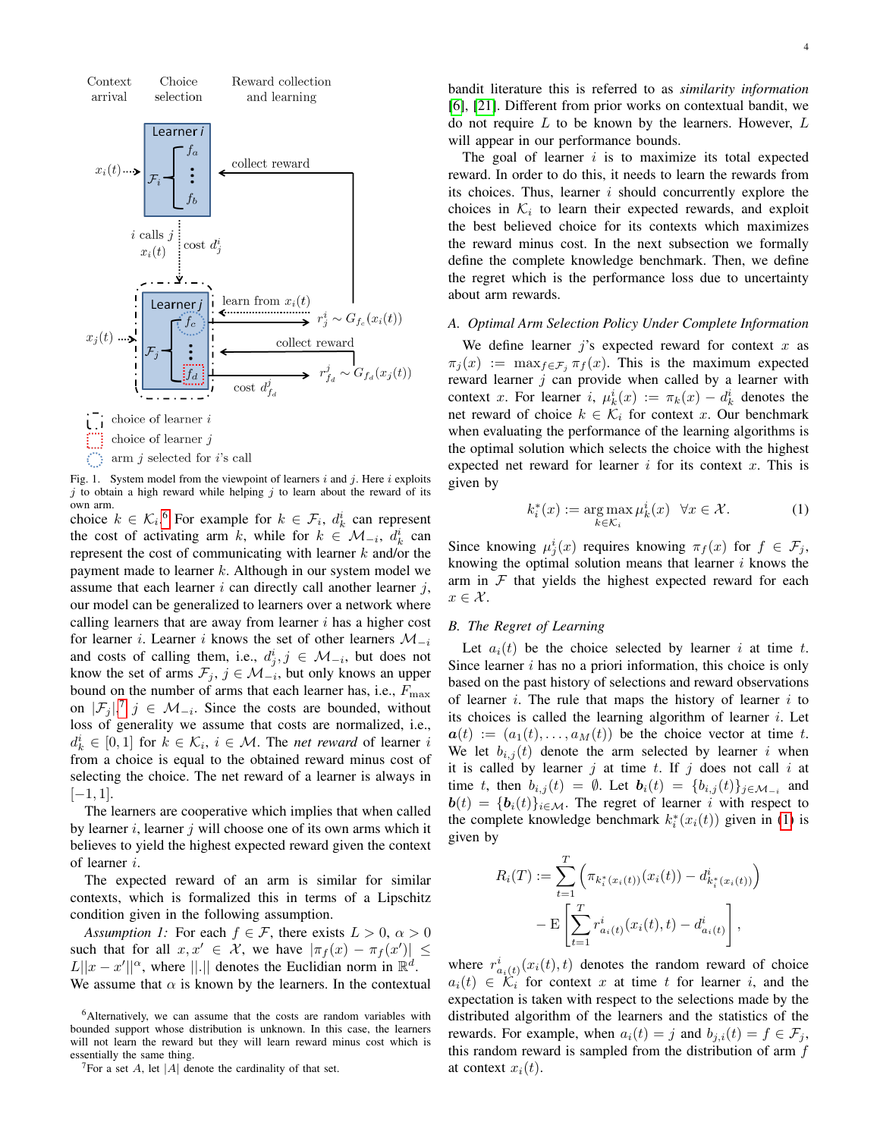

<span id="page-3-0"></span>Fig. 1. System model from the viewpoint of learners  $i$  and  $j$ . Here  $i$  exploits  $j$  to obtain a high reward while helping  $j$  to learn about the reward of its own arm.

choice  $k \in \mathcal{K}_i$ .<sup>[6](#page-3-1)</sup> For example for  $k \in \mathcal{F}_i$ ,  $d_k^i$  can represent the cost of activating arm k, while for  $k \in \mathcal{M}_{-i}$ ,  $d_k^i$  can represent the cost of communicating with learner  $k$  and/or the payment made to learner  $k$ . Although in our system model we assume that each learner  $i$  can directly call another learner  $j$ , our model can be generalized to learners over a network where calling learners that are away from learner  $i$  has a higher cost for learner *i*. Learner *i* knows the set of other learners  $\mathcal{M}_{-i}$ and costs of calling them, i.e.,  $d_j^i, j \in \mathcal{M}_{-i}$ , but does not know the set of arms  $\mathcal{F}_j$ ,  $j \in \mathcal{M}_{-i}$ , but only knows an upper bound on the number of arms that each learner has, i.e.,  $F_{\text{max}}$ on  $|\mathcal{F}_j|$ ,  $j \in \mathcal{M}_{-i}$ . Since the costs are bounded, without loss of generality we assume that costs are normalized, i.e.,  $d_k^i \in [0,1]$  for  $k \in \mathcal{K}_i$ ,  $i \in \mathcal{M}$ . The *net reward* of learner i from a choice is equal to the obtained reward minus cost of selecting the choice. The net reward of a learner is always in  $[-1, 1]$ .

The learners are cooperative which implies that when called by learner  $i$ , learner  $j$  will choose one of its own arms which it believes to yield the highest expected reward given the context of learner i.

The expected reward of an arm is similar for similar contexts, which is formalized this in terms of a Lipschitz condition given in the following assumption.

*Assumption 1:* For each  $f \in \mathcal{F}$ , there exists  $L > 0$ ,  $\alpha > 0$ such that for all  $x, x' \in \mathcal{X}$ , we have  $|\pi_f(x) - \pi_f(x')| \leq$  $L||x-x'||^{\alpha}$ , where ||.|| denotes the Euclidian norm in  $\mathbb{R}^d$ . We assume that  $\alpha$  is known by the learners. In the contextual bandit literature this is referred to as *similarity information* [\[6\]](#page-15-6), [\[21\]](#page-16-10). Different from prior works on contextual bandit, we do not require  $L$  to be known by the learners. However,  $L$ will appear in our performance bounds.

The goal of learner  $i$  is to maximize its total expected reward. In order to do this, it needs to learn the rewards from its choices. Thus, learner  $i$  should concurrently explore the choices in  $\mathcal{K}_i$  to learn their expected rewards, and exploit the best believed choice for its contexts which maximizes the reward minus cost. In the next subsection we formally define the complete knowledge benchmark. Then, we define the regret which is the performance loss due to uncertainty about arm rewards.

## *A. Optimal Arm Selection Policy Under Complete Information*

We define learner  $j$ 's expected reward for context  $x$  as  $\pi_j(x) := \max_{f \in \mathcal{F}_j} \pi_f(x)$ . This is the maximum expected reward learner  $j$  can provide when called by a learner with context x. For learner i,  $\mu_k^i(x) := \pi_k(x) - d_k^i$  denotes the net reward of choice  $k \in \mathcal{K}_i$  for context x. Our benchmark when evaluating the performance of the learning algorithms is the optimal solution which selects the choice with the highest expected net reward for learner  $i$  for its context  $x$ . This is given by

<span id="page-3-3"></span>
$$
k_i^*(x) := \operatorname*{arg\,max}_{k \in \mathcal{K}_i} \mu_k^i(x) \quad \forall x \in \mathcal{X}.
$$
 (1)

Since knowing  $\mu_j^i(x)$  requires knowing  $\pi_f(x)$  for  $f \in \mathcal{F}_j$ , knowing the optimal solution means that learner  $i$  knows the arm in  $\mathcal F$  that yields the highest expected reward for each  $x \in \mathcal{X}$ .

#### *B. The Regret of Learning*

Let  $a_i(t)$  be the choice selected by learner i at time t. Since learner  $i$  has no a priori information, this choice is only based on the past history of selections and reward observations of learner i. The rule that maps the history of learner i to its choices is called the learning algorithm of learner  $i$ . Let  $a(t) := (a_1(t), \ldots, a_M(t))$  be the choice vector at time t. We let  $b_{i,j}(t)$  denote the arm selected by learner i when it is called by learner j at time t. If j does not call i at time t, then  $b_{i,j}(t) = \emptyset$ . Let  $\mathbf{b}_i(t) = \{b_{i,j}(t)\}_{j \in \mathcal{M}_{-i}}$  and  $\mathbf{b}(t) = {\mathbf{b}_i(t)}_{i \in \mathcal{M}}$ . The regret of learner i with respect to the complete knowledge benchmark  $k_i^*(x_i(t))$  given in [\(1\)](#page-3-3) is given by

$$
R_i(T) := \sum_{t=1}^T \left( \pi_{k_i^*(x_i(t))}(x_i(t)) - d_{k_i^*(x_i(t))}^i \right)
$$

$$
- \mathbb{E} \left[ \sum_{t=1}^T r_{a_i(t)}^i(x_i(t), t) - d_{a_i(t)}^i \right],
$$

<span id="page-3-4"></span>where  $r_{a_i(t)}^i(x_i(t), t)$  denotes the random reward of choice  $a_i(t) \in \mathcal{K}_i$  for context x at time t for learner i, and the expectation is taken with respect to the selections made by the distributed algorithm of the learners and the statistics of the rewards. For example, when  $a_i(t) = j$  and  $b_{j,i}(t) = f \in \mathcal{F}_i$ , this random reward is sampled from the distribution of arm  $f$ at context  $x_i(t)$ .

<span id="page-3-1"></span><sup>&</sup>lt;sup>6</sup>Alternatively, we can assume that the costs are random variables with bounded support whose distribution is unknown. In this case, the learners will not learn the reward but they will learn reward minus cost which is essentially the same thing.

<span id="page-3-2"></span><sup>&</sup>lt;sup>7</sup>For a set A, let |A| denote the cardinality of that set.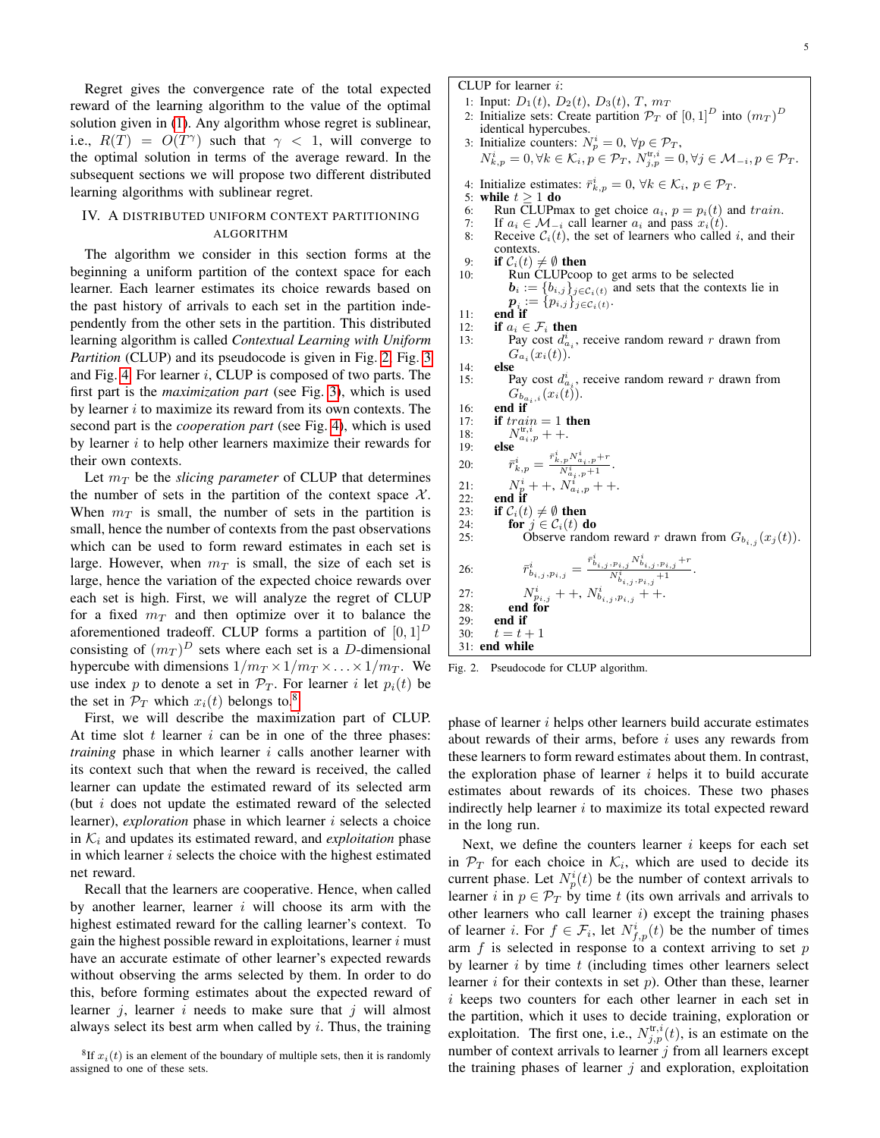Regret gives the convergence rate of the total expected reward of the learning algorithm to the value of the optimal solution given in [\(1\)](#page-3-3). Any algorithm whose regret is sublinear, i.e.,  $R(T) = O(T^{\gamma})$  such that  $\gamma < 1$ , will converge to the optimal solution in terms of the average reward. In the subsequent sections we will propose two different distributed learning algorithms with sublinear regret.

## <span id="page-4-0"></span>IV. A DISTRIBUTED UNIFORM CONTEXT PARTITIONING ALGORITHM

The algorithm we consider in this section forms at the beginning a uniform partition of the context space for each learner. Each learner estimates its choice rewards based on the past history of arrivals to each set in the partition independently from the other sets in the partition. This distributed learning algorithm is called *Contextual Learning with Uniform Partition* (CLUP) and its pseudocode is given in Fig. [2,](#page-4-1) Fig. [3](#page-5-0) and Fig. [4.](#page-5-1) For learner i, CLUP is composed of two parts. The first part is the *maximization part* (see Fig. [3\)](#page-5-0), which is used by learner  $i$  to maximize its reward from its own contexts. The second part is the *cooperation part* (see Fig. [4\)](#page-5-1), which is used by learner  $i$  to help other learners maximize their rewards for their own contexts.

Let  $m<sub>T</sub>$  be the *slicing parameter* of CLUP that determines the number of sets in the partition of the context space  $\mathcal{X}$ . When  $m<sub>T</sub>$  is small, the number of sets in the partition is small, hence the number of contexts from the past observations which can be used to form reward estimates in each set is large. However, when  $m<sub>T</sub>$  is small, the size of each set is large, hence the variation of the expected choice rewards over each set is high. First, we will analyze the regret of CLUP for a fixed  $m<sub>T</sub>$  and then optimize over it to balance the aforementioned tradeoff. CLUP forms a partition of  $[0, 1]^D$ consisting of  $(m_T)^D$  sets where each set is a D-dimensional hypercube with dimensions  $1/m_T \times 1/m_T \times \ldots \times 1/m_T$ . We use index p to denote a set in  $\mathcal{P}_T$ . For learner i let  $p_i(t)$  be the set in  $\mathcal{P}_T$  which  $x_i(t)$  belongs to.<sup>[8](#page-4-2)</sup>

First, we will describe the maximization part of CLUP. At time slot  $t$  learner  $i$  can be in one of the three phases: *training* phase in which learner *i* calls another learner with its context such that when the reward is received, the called learner can update the estimated reward of its selected arm (but  $i$  does not update the estimated reward of the selected learner), *exploration* phase in which learner *i* selects a choice in  $K_i$  and updates its estimated reward, and *exploitation* phase in which learner  $i$  selects the choice with the highest estimated net reward.

Recall that the learners are cooperative. Hence, when called by another learner, learner  $i$  will choose its arm with the highest estimated reward for the calling learner's context. To gain the highest possible reward in exploitations, learner  $i$  must have an accurate estimate of other learner's expected rewards without observing the arms selected by them. In order to do this, before forming estimates about the expected reward of learner  $j$ , learner  $i$  needs to make sure that  $j$  will almost always select its best arm when called by  $i$ . Thus, the training

- 1: Input:  $D_1(t)$ ,  $D_2(t)$ ,  $D_3(t)$ ,  $T$ ,  $m_T$
- 2: Initialize sets: Create partition  $\mathcal{P}_T$  of  $[0,1]^D$  into  $(m_T)^D$ identical hypercubes.
- 3: Initialize counters:  $N_p^i = 0, \forall p \in \mathcal{P}_T$ ,  $N_{k,p}^i = 0, \forall k \in \mathcal{K}_i, p \in \mathcal{P}_T, N_{j,p}^{\text{tr},i} = 0, \forall j \in \mathcal{M}_{-i}, p \in \mathcal{P}_T.$
- 4: Initialize estimates:  $\bar{r}_{k,p}^i = 0, \forall k \in \mathcal{K}_i, p \in \mathcal{P}_T$ .
- 5: while  $t > 1$  do
- 6: Run CLUPmax to get choice  $a_i$ ,  $p = p_i(t)$  and train.<br>7: If  $a_i \in \mathcal{M}_{-i}$  call learner  $a_i$  and pass  $x_i(t)$ .
- 7: If  $a_i \in \mathcal{M}_{-i}$  call learner  $a_i$  and pass  $x_i(t)$ .<br>8: Receive  $C_i(t)$ , the set of learners who called
- Receive  $C_i(t)$ , the set of learners who called i, and their contexts.
- 9: if  $C_i(t) \neq \emptyset$  then
- 10: Run CLUPcoop to get arms to be selected  $\mathbf{b}_i := \{b_{i,j}\}_{j \in \mathcal{C}_i(t)}$  and sets that the contexts lie in  $\bm{p}_i := \{p_{i,j}\}_{j \in \mathcal{C}_i(t)}$ . 11:  $end$  if
- 
- 12: **if**  $a_i \in \mathcal{F}_i$  **then**<br>13: **Pay cost**  $d_{a_i}^i$ , 13: Pay cost  $d_{a_i}^i$ , receive random reward r drawn from  $G_{a_i}(x_i(t)).$
- 14: **else**<br>15: **P**
- 15: Pay cost  $d_{a_i}^i$ , receive random reward r drawn from  $G_{b_{a_i,i}}(x_i(t)).$
- 16: end if
- 17: **if**  $train = 1$  **then**<br>18:  $N_a^{t,i} + +$ . 18:  $N_{a_i,p}^{\text{tr},i}$  + +.

19: **else**  
20: 
$$
\bar{r}_{k,p}^i = \frac{\bar{r}_{k,p}^i N_{a_i,p}^i + r}{N_{a_i,p}^i + 1}.
$$

21: 
$$
N_p^i + +, N_{a_i,p}^i + +.
$$

22: **end if**<br>23: **if**  $C_i(t)$ 

- 23: if  $C_i(t) \neq \emptyset$  then<br>24: for  $i \in C_i(t)$
- 24: **for**  $j \in C_i(t)$  **do**<br>25: **Observe rando** Observe random reward r drawn from  $G_{b_{i,j}}(x_j(t))$ .  $\sim$

26: 
$$
\bar{r}_{b_{i,j},p_{i,j}}^i = \frac{\bar{r}_{b_{i,j},p_{i,j}}^i N_{b_{i,j},p_{i,j}}^i + r}{N_{b_{i,j},p_{i,j}}^i + 1}.
$$
27: 
$$
N_{p_{i,j}}^i + +, N_{b_{i,j},p_{i,j}}^i + +.
$$
28: **end for**29: **end if**30:  $t = t + 1$ 31: **end while**

<span id="page-4-1"></span>Fig. 2. Pseudocode for CLUP algorithm.

phase of learner i helps other learners build accurate estimates about rewards of their arms, before  $i$  uses any rewards from these learners to form reward estimates about them. In contrast, the exploration phase of learner  $i$  helps it to build accurate estimates about rewards of its choices. These two phases indirectly help learner  $i$  to maximize its total expected reward in the long run.

Next, we define the counters learner  $i$  keeps for each set in  $\mathcal{P}_T$  for each choice in  $\mathcal{K}_i$ , which are used to decide its current phase. Let  $N_p^i(t)$  be the number of context arrivals to learner i in  $p \in \mathcal{P}_T$  by time t (its own arrivals and arrivals to other learners who call learner  $i$ ) except the training phases of learner *i*. For  $f \in \mathcal{F}_i$ , let  $N_{f,p}^i(t)$  be the number of times arm  $f$  is selected in response to a context arriving to set  $p$ by learner  $i$  by time  $t$  (including times other learners select learner  $i$  for their contexts in set  $p$ ). Other than these, learner i keeps two counters for each other learner in each set in the partition, which it uses to decide training, exploration or exploitation. The first one, i.e.,  $N_{j,p}^{\text{tr},i}(t)$ , is an estimate on the number of context arrivals to learner  $j$  from all learners except the training phases of learner  $j$  and exploration, exploitation

<span id="page-4-2"></span><sup>&</sup>lt;sup>8</sup>If  $x_i(t)$  is an element of the boundary of multiple sets, then it is randomly assigned to one of these sets.

CLUP for learner i: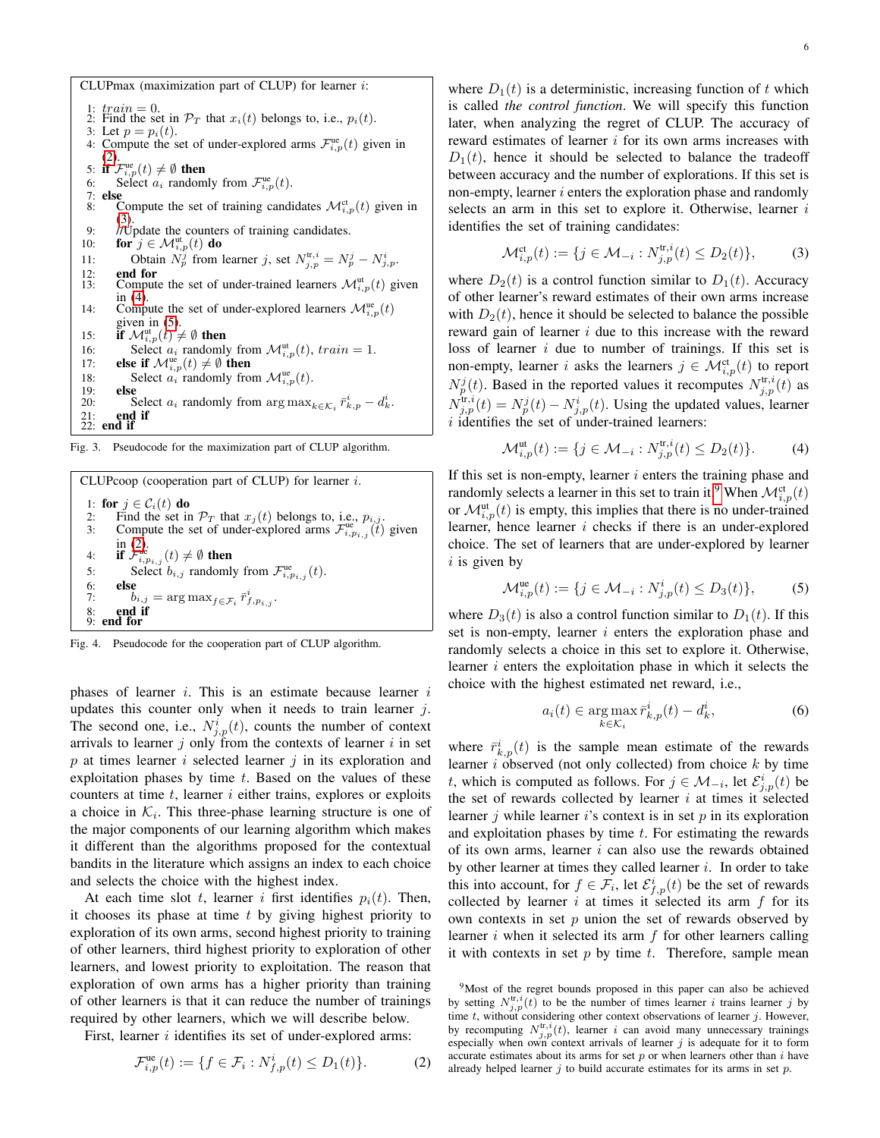CLUPmax (maximization part of CLUP) for learner i:

\n- 1: train = 0.
\n- 2: Find the set in 
$$
\mathcal{P}_T
$$
 that  $x_i(t)$  belongs to, i.e.,  $p_i(t)$ .
\n- 3: Let  $p = p_i(t)$ .
\n- 4: Compute the set of under-explored arms  $\mathcal{F}_{i,p}^{\text{ue}}(t)$  given in (2).
\n- 5: if  $\mathcal{F}_{i,p}^{\text{ue}}(t) \neq \emptyset$  then
\n- 6: Select  $a_i$  randomly from  $\mathcal{F}_{i,p}^{\text{ue}}(t)$ .
\n- 7: else
\n- 8: Compute the set of training candidates  $\mathcal{M}_{i,p}^{\text{ct}}(t)$  given in (3).
\n- 9: //Update the counters of training candidates.
\n- 10: for  $j \in \mathcal{M}_{i,p}^{\text{ut}}(t)$  do
\n- 11: Obtain  $N_p^j$  from learner  $j$ , set  $N_{j,p}^{\text{tr},i} = N_p^j - N_{j,p}^i$ .
\n- 12: **13**: Compute the set of under-trained learners  $\mathcal{M}_{i,p}^{\text{ut}}(t)$  given in (4).
\n- 14: Compute the set of under-explored learners  $\mathcal{M}_{i,p}^{\text{ut}}(t)$  given in (5).
\n- 15: If  $\mathcal{M}_{i,p}^{\text{ut}}(t) \neq \emptyset$  then
\n- 16: Select  $a_i$  randomly from  $\mathcal{M}_{i,p}^{\text{ut}}(t)$ , train = 1.
\n- 17: else if  $\mathcal{M}_{i,p}^{\text{ue}}(t) \neq \emptyset$  then
\n- 18: Select  $a_i$  randomly from  $\mathcal{M}_{i,p}^{\text{ue}}(t)$ .
\n- 20: Select  $a_i$  randomly from  $\mathcal{M}_{i,p}^{\text{ue}}(t)$ .
\n- 21: **end if**
\n- 22: **end if**

<span id="page-5-0"></span>

|  |  | Fig. 3. Pseudocode for the maximization part of CLUP algorithm. |  |  |
|--|--|-----------------------------------------------------------------|--|--|
|  |  |                                                                 |  |  |

CLUPcoop (cooperation part of CLUP) for learner i. 1: for  $j \in C_i(t)$  do<br>2: Find the set in 2: Find the set in  $\mathcal{P}_T$  that  $x_j(t)$  belongs to, i.e.,  $p_{i,j}$ . 3: Compute the set of under-explored arms  $\mathcal{F}_{i, p_{i,j}}^{\text{ue}}(t)$  given 4:  $\inf_{\mathbf{f}} \mathcal{F}_{i,p_{i,j}}^{\text{ue}}(t) \neq \emptyset$  then 5: Select  $b_{i,j}$  randomly from  $\mathcal{F}_{i,p_{i,j}}^{\text{ue}}(t)$ . 6: **else**<br>7:  $\frac{b}{b}$ 7:  $b_{i,j} = \arg \max_{f \in \mathcal{F}_i} \bar{r}_{f, p_{i,j}}^i$ . 8: end if 9: end for

<span id="page-5-1"></span>Fig. 4. Pseudocode for the cooperation part of CLUP algorithm.

phases of learner  $i$ . This is an estimate because learner  $i$ updates this counter only when it needs to train learner  $j$ . The second one, i.e.,  $N_{j,p}^{i}(t)$ , counts the number of context arrivals to learner  $j$  only from the contexts of learner  $i$  in set  $p$  at times learner i selected learner  $i$  in its exploration and exploitation phases by time  $t$ . Based on the values of these counters at time  $t$ , learner  $i$  either trains, explores or exploits a choice in  $\mathcal{K}_i$ . This three-phase learning structure is one of the major components of our learning algorithm which makes it different than the algorithms proposed for the contextual bandits in the literature which assigns an index to each choice and selects the choice with the highest index.

At each time slot t, learner i first identifies  $p_i(t)$ . Then, it chooses its phase at time  $t$  by giving highest priority to exploration of its own arms, second highest priority to training of other learners, third highest priority to exploration of other learners, and lowest priority to exploitation. The reason that exploration of own arms has a higher priority than training of other learners is that it can reduce the number of trainings required by other learners, which we will describe below.

First, learner *i* identifies its set of under-explored arms:

$$
\mathcal{F}_{i,p}^{\text{ue}}(t) := \{ f \in \mathcal{F}_i : N_{f,p}^i(t) \le D_1(t) \}. \tag{2}
$$

where  $D_1(t)$  is a deterministic, increasing function of t which is called *the control function*. We will specify this function later, when analyzing the regret of CLUP. The accuracy of reward estimates of learner i for its own arms increases with  $D_1(t)$ , hence it should be selected to balance the tradeoff between accuracy and the number of explorations. If this set is non-empty, learner  $i$  enters the exploration phase and randomly selects an arm in this set to explore it. Otherwise, learner i identifies the set of training candidates:

<span id="page-5-3"></span>
$$
\mathcal{M}_{i,p}^{\text{ct}}(t) := \{ j \in \mathcal{M}_{-i} : N_{j,p}^{\text{tr},i}(t) \le D_2(t) \},\tag{3}
$$

where  $D_2(t)$  is a control function similar to  $D_1(t)$ . Accuracy of other learner's reward estimates of their own arms increase with  $D_2(t)$ , hence it should be selected to balance the possible reward gain of learner i due to this increase with the reward loss of learner  $i$  due to number of trainings. If this set is non-empty, learner i asks the learners  $j \in \mathcal{M}_{i,p}^{\text{ct}}(t)$  to report  $N_p^j(t)$ . Based in the reported values it recomputes  $N_{j,p}^{\text{tr},i}(t)$  as  $N_{j,p}^{\text{tr},i}(t) = N_{p}^{j}(t) - N_{j,p}^{i}(t)$ . Using the updated values, learner  $i$  identifies the set of under-trained learners:

<span id="page-5-4"></span>
$$
\mathcal{M}_{i,p}^{\text{ut}}(t) := \{ j \in \mathcal{M}_{-i} : N_{j,p}^{\text{tr},i}(t) \le D_2(t) \}. \tag{4}
$$

If this set is non-empty, learner  $i$  enters the training phase and randomly selects a learner in this set to train it.<sup>[9](#page-5-6)</sup> When  $\mathcal{M}_{i,p}^{\text{ct}}(t)$ or  $\mathcal{M}_{i,p}^{\text{ut}}(t)$  is empty, this implies that there is no under-trained learner, hence learner i checks if there is an under-explored choice. The set of learners that are under-explored by learner  $i$  is given by

$$
\mathcal{M}_{i,p}^{\text{ue}}(t) := \{ j \in \mathcal{M}_{-i} : N_{j,p}^i(t) \le D_3(t) \},\tag{5}
$$

where  $D_3(t)$  is also a control function similar to  $D_1(t)$ . If this set is non-empty, learner *i* enters the exploration phase and randomly selects a choice in this set to explore it. Otherwise, learner i enters the exploitation phase in which it selects the choice with the highest estimated net reward, i.e.,

<span id="page-5-7"></span><span id="page-5-5"></span>
$$
a_i(t) \in \underset{k \in \mathcal{K}_i}{\arg \max} \, \bar{r}_{k,p}^i(t) - d_k^i,\tag{6}
$$

where  $\bar{r}_{k,p}^i(t)$  is the sample mean estimate of the rewards learner  $i$  observed (not only collected) from choice  $k$  by time t, which is computed as follows. For  $j \in \mathcal{M}_{-i}$ , let  $\mathcal{E}_{j,p}^{i}(t)$  be the set of rewards collected by learner  $i$  at times it selected learner  $i$  while learner  $i$ 's context is in set  $p$  in its exploration and exploitation phases by time t. For estimating the rewards of its own arms, learner  $i$  can also use the rewards obtained by other learner at times they called learner  $i$ . In order to take this into account, for  $f \in \mathcal{F}_i$ , let  $\mathcal{E}_{f,p}^i(t)$  be the set of rewards collected by learner  $i$  at times it selected its arm  $f$  for its own contexts in set  $p$  union the set of rewards observed by learner  $i$  when it selected its arm  $f$  for other learners calling it with contexts in set  $p$  by time  $t$ . Therefore, sample mean

<span id="page-5-6"></span><span id="page-5-2"></span><sup>9</sup>Most of the regret bounds proposed in this paper can also be achieved by setting  $N_{j,p}^{\text{tr},i}(t)$  to be the number of times learner i trains learner j by time  $t$ , without considering other context observations of learner  $j$ . However, by recomputing  $N_{j,p}^{\text{tr},i}(t)$ , learner i can avoid many unnecessary trainings especially when own context arrivals of learner j is adequate for it to form accurate estimates about its arms for set  $p$  or when learners other than  $i$  have already helped learner  $j$  to build accurate estimates for its arms in set  $p$ .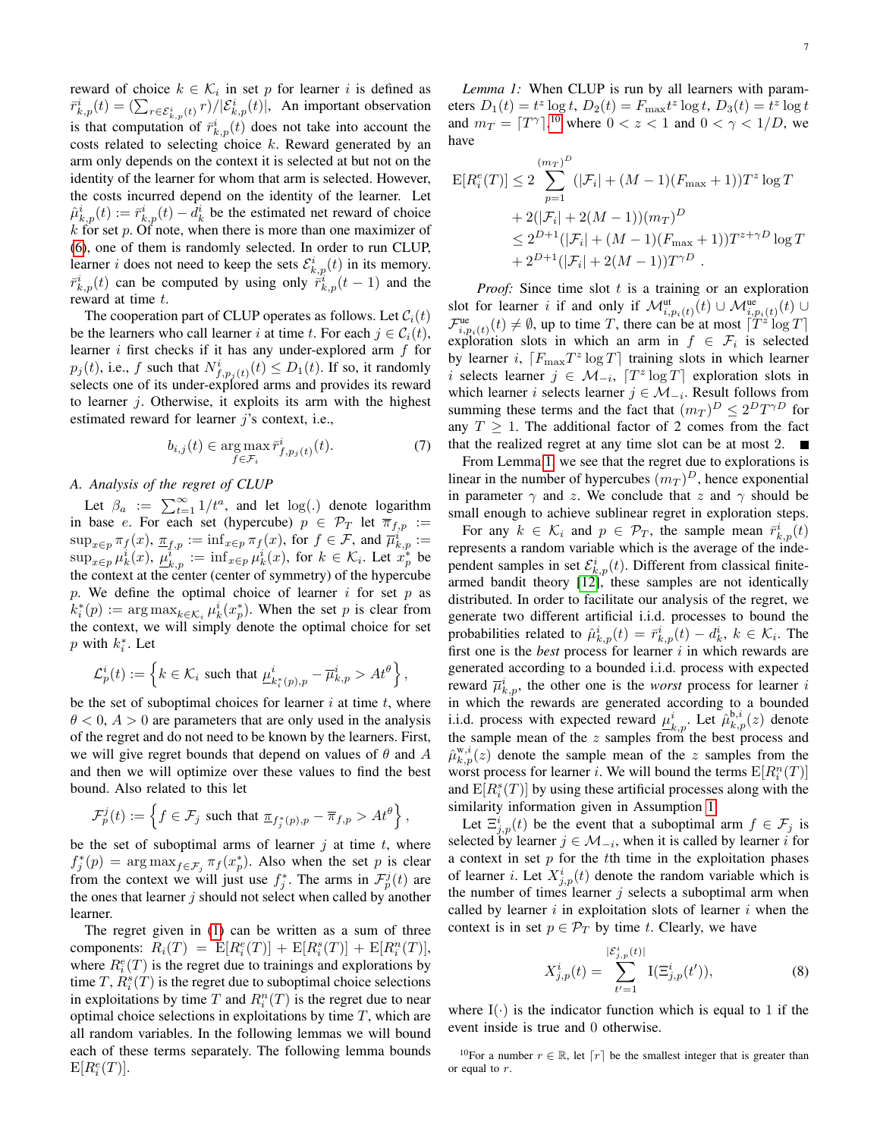reward of choice  $k \in \mathcal{K}_i$  in set p for learner i is defined as  $\overline{r}_{k,p}^i(t) = \left(\sum_{r \in \mathcal{E}_{k,p}^i(t)} r\right) / |\mathcal{E}_{k,p}^i(t)|$ , An important observation is that computation of  $\bar{r}_{k,p}^i(t)$  does not take into account the costs related to selecting choice  $k$ . Reward generated by an arm only depends on the context it is selected at but not on the identity of the learner for whom that arm is selected. However, the costs incurred depend on the identity of the learner. Let  $\hat{\mu}_{k,p}^{i}(t) := \bar{r}_{k,p}^{i}(t) - d_{k}^{i}$  be the estimated net reward of choice  $k$  for set p. Of note, when there is more than one maximizer of [\(6\)](#page-5-7), one of them is randomly selected. In order to run CLUP, learner *i* does not need to keep the sets  $\mathcal{E}_{k,p}^{i}(t)$  in its memory.  $\overline{r}_{k,p}^{i}(t)$  can be computed by using only  $\overline{\tilde{r}}_{k,p}^{i}(t-1)$  and the reward at time  $t$ .

The cooperation part of CLUP operates as follows. Let  $C_i(t)$ be the learners who call learner i at time t. For each  $j \in C_i(t)$ , learner  $i$  first checks if it has any under-explored arm  $f$  for  $p_j(t)$ , i.e., f such that  $N^i_{f,p_j(t)}(t) \leq D_1(t)$ . If so, it randomly selects one of its under-explored arms and provides its reward to learner  $j$ . Otherwise, it exploits its arm with the highest estimated reward for learner  $j$ 's context, i.e.,

$$
b_{i,j}(t) \in \underset{f \in \mathcal{F}_i}{\arg \max} \bar{r}^i_{f, p_j(t)}(t). \tag{7}
$$

## *A. Analysis of the regret of CLUP*

Let  $\beta_a := \sum_{t=1}^{\infty} 1/t^a$ , and let log(.) denote logarithm in base e. For each set (hypercube)  $p \in \mathcal{P}_T$  let  $\overline{\pi}_{f,p} :=$  $\sup_{x\in p}\pi_f(x),\,\underline{\pi}_{f,p}:=\inf_{x\in p}\pi_f(x),\,\text{for}\,\,f\in\mathcal{F},\,\text{and}\,\,\overline{\mu}_{k,p}^i:=$  $\sup_{x \in p} \mu_k^i(x)$ ,  $\underline{\mu}_{k,p}^i := \inf_{x \in p} \mu_k^i(x)$ , for  $k \in \mathcal{K}_i$ . Let  $\hat{x}_p^*$  be the context at the center (center of symmetry) of the hypercube p. We define the optimal choice of learner  $i$  for set  $p$  as  $k_i^*(p) := \arg \max_{k \in \mathcal{K}_i} \mu_k^i(x_p^*)$ . When the set p is clear from the context, we will simply denote the optimal choice for set p with  $k_i^*$ . Let

$$
\mathcal{L}_p^i(t) := \left\{ k \in \mathcal{K}_i \text{ such that } \underline{\mu}_{k_i^*(p),p}^i - \overline{\mu}_{k,p}^i > At^{\theta} \right\},\
$$

be the set of suboptimal choices for learner  $i$  at time  $t$ , where  $\theta$  < 0, A > 0 are parameters that are only used in the analysis of the regret and do not need to be known by the learners. First, we will give regret bounds that depend on values of  $\theta$  and A and then we will optimize over these values to find the best bound. Also related to this let

$$
\mathcal{F}_p^j(t) := \left\{ f \in \mathcal{F}_j \text{ such that } \underline{\pi}_{f_j^*(p),p} - \overline{\pi}_{f,p} > At^{\theta} \right\},\,
$$

be the set of suboptimal arms of learner  $j$  at time  $t$ , where  $f_j^*(p) = \arg \max_{f \in \mathcal{F}_j} \pi_f(x_p^*)$ . Also when the set p is clear from the context we will just use  $f_j^*$ . The arms in  $\mathcal{F}_p^j(t)$  are the ones that learner  $j$  should not select when called by another learner.

<span id="page-6-1"></span>The regret given in [\(1\)](#page-3-3) can be written as a sum of three components:  $R_i(T) = \mathbb{E}[R_i^e(T)] + \mathbb{E}[R_i^s(T)] + \mathbb{E}[R_i^n(T)],$ where  $R_i^e(T)$  is the regret due to trainings and explorations by time T,  $R_i^s(T)$  is the regret due to suboptimal choice selections in exploitations by time  $T$  and  $R_i^n(T)$  is the regret due to near optimal choice selections in exploitations by time  $T$ , which are all random variables. In the following lemmas we will bound each of these terms separately. The following lemma bounds  $E[R_i^e(T)].$ 

*Lemma 1:* When CLUP is run by all learners with parameters  $D_1(t) = t^z \log t$ ,  $D_2(t) = F_{\text{max}} t^z \log t$ ,  $D_3(t) = t^z \log t$ and  $m_T = \lceil T^{\gamma} \rceil^{10}$  $m_T = \lceil T^{\gamma} \rceil^{10}$  $m_T = \lceil T^{\gamma} \rceil^{10}$  where  $0 < z < 1$  and  $0 < \gamma < 1/D$ , we have

$$
E[R_i^e(T)] \le 2 \sum_{p=1}^{(m_T)^D} (|\mathcal{F}_i| + (M-1)(F_{\text{max}} + 1))T^z \log T
$$
  
+2(|\mathcal{F}\_i| + 2(M - 1))(m\_T)^D  

$$
\le 2^{D+1}(|\mathcal{F}_i| + (M - 1)(F_{\text{max}} + 1))T^{z + \gamma D} \log T
$$
  
+2^{D+1}(|\mathcal{F}\_i| + 2(M - 1))T^{\gamma D}.

*Proof:* Since time slot t is a training or an exploration slot for learner i if and only if  $\mathcal{M}_{i,p_i(t)}^{\text{ut}}(t) \cup \mathcal{M}_{i,p_i(t)}^{\text{ue}}(t) \cup$  $\mathcal{F}^{\text{ue}}_{i,p_i(t)}(t) \neq \emptyset$ , up to time T, there can be at most  $\lceil T^2 \rceil \log T \rceil$ exploration slots in which an arm in  $f \in \mathcal{F}_i$  is selected by learner i,  $[F_{\text{max}}T^z \log T]$  training slots in which learner i selects learner  $j \in \mathcal{M}_{-i}$ ,  $[T^z \log T]$  exploration slots in which learner *i* selects learner  $j \in \mathcal{M}_{-i}$ . Result follows from summing these terms and the fact that  $(m_T)^D \leq 2^D T^{\gamma D}$  for any  $T \geq 1$ . The additional factor of 2 comes from the fact that the realized regret at any time slot can be at most 2.  $\blacksquare$ 

From Lemma [1,](#page-6-1) we see that the regret due to explorations is linear in the number of hypercubes  $(m_T)^D$ , hence exponential in parameter  $\gamma$  and z. We conclude that z and  $\gamma$  should be small enough to achieve sublinear regret in exploration steps.

For any  $k \in \mathcal{K}_i$  and  $p \in \mathcal{P}_T$ , the sample mean  $\bar{r}_{k,p}^i(t)$ represents a random variable which is the average of the independent samples in set  $\mathcal{E}_{k,p}^{i}(t)$ . Different from classical finitearmed bandit theory [\[12\]](#page-16-2), these samples are not identically distributed. In order to facilitate our analysis of the regret, we generate two different artificial i.i.d. processes to bound the probabilities related to  $\hat{\mu}_{k,p}^i(t) = \bar{r}_{k,p}^i(t) - d_k^i, k \in \mathcal{K}_i$ . The first one is the *best* process for learner  $i$  in which rewards are generated according to a bounded i.i.d. process with expected reward  $\overline{\mu}_{k,p}^{i}$ , the other one is the *worst* process for learner i in which the rewards are generated according to a bounded i.i.d. process with expected reward  $\underline{\mu}_{k,p}^{i}$ . Let  $\hat{\mu}_{k,p}^{b,i}(z)$  denote the sample mean of the  $z$  samples from the best process and  $\hat{\mu}_{k,p}^{w,i}(z)$  denote the sample mean of the z samples from the worst process for learner *i*. We will bound the terms  $E[R_i^n(T)]$ and  $E[R_i^s(T)]$  by using these artificial processes along with the similarity information given in Assumption [1.](#page-3-4)

Let  $\Xi_{j,p}^{i}(t)$  be the event that a suboptimal arm  $f \in \mathcal{F}_j$  is selected by learner  $j \in \mathcal{M}_{-i}$ , when it is called by learner i for a context in set  $p$  for the tth time in the exploitation phases of learner *i*. Let  $X_{j,p}^{i}(t)$  denote the random variable which is the number of times learner  $j$  selects a suboptimal arm when called by learner  $i$  in exploitation slots of learner  $i$  when the context is in set  $p \in \mathcal{P}_T$  by time t. Clearly, we have

<span id="page-6-2"></span>
$$
X_{j,p}^{i}(t) = \sum_{t'=1}^{|\mathcal{E}_{j,p}^{i}(t)|} \mathcal{I}(\Xi_{j,p}^{i}(t')), \qquad (8)
$$

where  $I(\cdot)$  is the indicator function which is equal to 1 if the event inside is true and 0 otherwise.

<span id="page-6-0"></span><sup>10</sup>For a number  $r \in \mathbb{R}$ , let  $\lceil r \rceil$  be the smallest integer that is greater than or equal to r.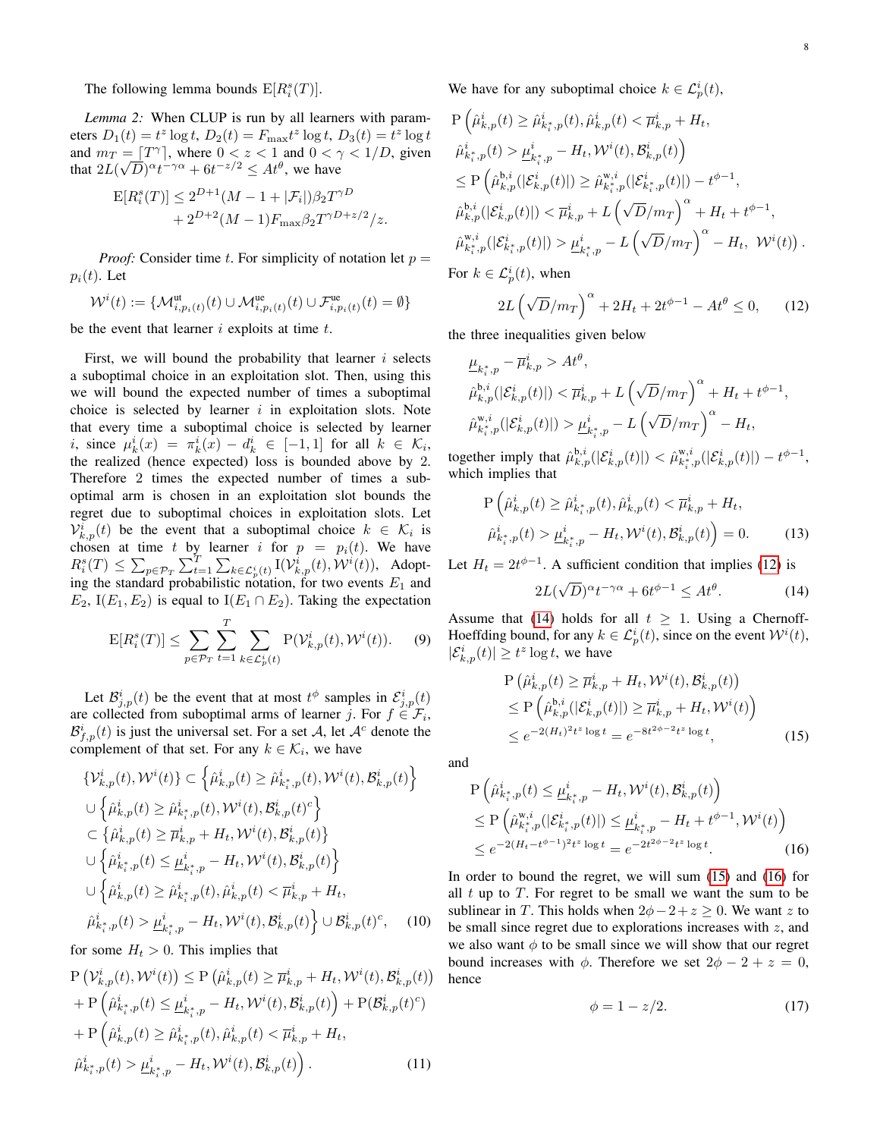The following lemma bounds  $E[R_i^s(T)]$ .

*Lemma 2:* When CLUP is run by all learners with parameters  $D_1(t) = t^z \log t$ ,  $D_2(t) = F_{\text{max}} t^z \log t$ ,  $D_3(t) = t^z \log t$ and  $m_T = [T^{\gamma}]$ , where  $0 < z < 1$  and  $0 < \gamma < 1/D$ , given that  $2L(\sqrt{D})^{\alpha}t^{-\gamma\alpha} + 6t^{-z/2} \leq At^{\theta}$ , we have

$$
E[R_i^s(T)] \le 2^{D+1}(M - 1 + |\mathcal{F}_i|)\beta_2 T^{\gamma D} + 2^{D+2}(M - 1)F_{\text{max}}\beta_2 T^{\gamma D + z/2}/z.
$$

*Proof:* Consider time t. For simplicity of notation let  $p =$  $p_i(t)$ . Let

$$
\mathcal{W}^i(t):=\{\mathcal{M}_{i,p_i(t)}^{\mathrm{ut}}(t)\cup \mathcal{M}_{i,p_i(t)}^{\mathrm{ue}}(t)\cup \mathcal{F}_{i,p_i(t)}^{\mathrm{ue}}(t)=\emptyset\}
$$

be the event that learner  $i$  exploits at time  $t$ .

First, we will bound the probability that learner  $i$  selects a suboptimal choice in an exploitation slot. Then, using this we will bound the expected number of times a suboptimal choice is selected by learner  $i$  in exploitation slots. Note that every time a suboptimal choice is selected by learner i, since  $\mu_k^i(x) = \pi_k^i(x) - d_k^i \in [-1,1]$  for all  $k \in \mathcal{K}_i$ , the realized (hence expected) loss is bounded above by 2. Therefore 2 times the expected number of times a suboptimal arm is chosen in an exploitation slot bounds the regret due to suboptimal choices in exploitation slots. Let  $\mathcal{V}_{k,p}^{i}(t)$  be the event that a suboptimal choice  $k \in \mathcal{K}_{i}$  is chosen at time t by learner i for  $p = p_i(t)$ . We have  $R_i^s(T) \leq \sum_{p \in \mathcal{P}_T} \sum_{t=1}^T \sum_{k \in \mathcal{L}_p^i(t)} \mathcal{I}(\mathcal{V}_{k,p}^i(t), \mathcal{W}^i(t)), \ \ \text{Adopt-}$ ing the standard probabilistic notation, for two events  $E_1$  and  $E_2$ , I( $E_1, E_2$ ) is equal to I( $E_1 \cap E_2$ ). Taking the expectation

$$
\mathcal{E}[R_i^s(T)] \le \sum_{p \in \mathcal{P}_T} \sum_{t=1}^T \sum_{k \in \mathcal{L}_p^i(t)} \mathcal{P}(\mathcal{V}_{k,p}^i(t), \mathcal{W}^i(t)). \tag{9}
$$

Let  $\mathcal{B}_{j,p}^{i}(t)$  be the event that at most  $t^{\phi}$  samples in  $\mathcal{E}_{j,p}^{i}(t)$ are collected from suboptimal arms of learner j. For  $f \in \mathcal{F}_i$ ,  $\mathcal{B}_{f,p}^{i}(t)$  is just the universal set. For a set A, let  $\mathcal{A}^{c}$  denote the complement of that set. For any  $k \in \mathcal{K}_i$ , we have

$$
\{\mathcal{V}_{k,p}^{i}(t), \mathcal{W}^{i}(t)\} \subset \left\{\hat{\mu}_{k,p}^{i}(t) \geq \hat{\mu}_{k_{i}^{*},p}^{i}(t), \mathcal{W}^{i}(t), \mathcal{B}_{k,p}^{i}(t)\right\}
$$
  
\n
$$
\cup \left\{\hat{\mu}_{k,p}^{i}(t) \geq \hat{\mu}_{k_{i}^{*},p}^{i}(t), \mathcal{W}^{i}(t), \mathcal{B}_{k,p}^{i}(t)^{c}\right\}
$$
  
\n
$$
\subset \left\{\hat{\mu}_{k,p}^{i}(t) \geq \overline{\mu}_{k,p}^{i} + H_{t}, \mathcal{W}^{i}(t), \mathcal{B}_{k,p}^{i}(t)\right\}
$$
  
\n
$$
\cup \left\{\hat{\mu}_{k_{i}^{*},p}^{i}(t) \leq \underline{\mu}_{k_{i}^{*},p}^{i} - H_{t}, \mathcal{W}^{i}(t), \mathcal{B}_{k,p}^{i}(t)\right\}
$$
  
\n
$$
\cup \left\{\hat{\mu}_{k,p}^{i}(t) \geq \hat{\mu}_{k_{i}^{*},p}^{i}(t), \hat{\mu}_{k,p}^{i}(t) < \overline{\mu}_{k,p}^{i} + H_{t}, \right.
$$
  
\n
$$
\hat{\mu}_{k_{i}^{*},p}^{i}(t) > \underline{\mu}_{k_{i}^{*},p}^{i} - H_{t}, \mathcal{W}^{i}(t), \mathcal{B}_{k,p}^{i}(t)\right\} \cup \mathcal{B}_{k,p}^{i}(t)^{c}, \quad (10)
$$

for some  $H_t > 0$ . This implies that

$$
P(\mathcal{V}_{k,p}^{i}(t), \mathcal{W}^{i}(t)) \leq P(\hat{\mu}_{k,p}^{i}(t) \geq \overline{\mu}_{k,p}^{i} + H_{t}, \mathcal{W}^{i}(t), \mathcal{B}_{k,p}^{i}(t)) + P(\hat{\mu}_{k_{i}^{*},p}^{i}(t) \leq \underline{\mu}_{k_{i}^{*},p}^{i} - H_{t}, \mathcal{W}^{i}(t), \mathcal{B}_{k,p}^{i}(t)) + P(\mathcal{B}_{k,p}^{i}(t)^{c}) + P(\hat{\mu}_{k,p}^{i}(t) \geq \hat{\mu}_{k_{i}^{*},p}^{i}(t), \hat{\mu}_{k,p}^{i}(t) < \overline{\mu}_{k,p}^{i} + H_{t}, \hat{\mu}_{k_{i}^{*},p}^{i}(t) > \underline{\mu}_{k_{i}^{*},p}^{i} - H_{t}, \mathcal{W}^{i}(t), \mathcal{B}_{k,p}^{i}(t) \big).
$$
\n(11)

<span id="page-7-7"></span>We have for any suboptimal choice  $k \in \mathcal{L}_p^i(t)$ ,

$$
\begin{aligned} &\textrm{P}\left(\hat{\mu}_{k,p}^i(t) \geq \hat{\mu}_{k_i^*,p}^i(t), \hat{\mu}_{k,p}^i(t) < \overline{\mu}_{k,p}^i + H_t, \right.\\ &\left. \hat{\mu}_{k_i^*,p}^i(t) > \underline{\mu}_{k_i^*,p}^i - H_t, \mathcal{W}^i(t), \mathcal{B}_{k,p}^i(t) \right) \\ &\leq \textrm{P}\left(\hat{\mu}_{k,p}^{\textrm{b},i}(|\mathcal{E}_{k,p}^i(t)|) \geq \hat{\mu}_{k_i^*,p}^{\textrm{w},i}(|\mathcal{E}_{k_i^*,p}^i(t)|) - t^{\phi-1}, \right.\\ &\left. \hat{\mu}_{k,p}^{\textrm{b},i}(|\mathcal{E}_{k,p}^i(t)|) < \overline{\mu}_{k,p}^i + L\left(\sqrt{D}/m_T\right)^\alpha + H_t + t^{\phi-1}, \right.\\ &\left. \hat{\mu}_{k_i^*,p}^{\textrm{w},i}(|\mathcal{E}_{k_i^*,p}^i(t)|) > \underline{\mu}_{k_i^*,p}^i - L\left(\sqrt{D}/m_T\right)^\alpha - H_t, \ \mathcal{W}^i(t) \right). \end{aligned}
$$

For  $k \in \mathcal{L}_p^i(t)$ , when

<span id="page-7-0"></span>
$$
2L\left(\sqrt{D}/m_T\right)^{\alpha} + 2H_t + 2t^{\phi - 1} - At^{\theta} \le 0, \qquad (12)
$$

the three inequalities given below

$$
\underline{\mu}_{k_i^*,p} - \overline{\mu}_{k,p}^i > A t^{\theta},
$$
\n
$$
\hat{\mu}_{k,p}^{b,i}(|\mathcal{E}_{k,p}^i(t)|) < \overline{\mu}_{k,p}^i + L \left(\sqrt{D}/m_T\right)^{\alpha} + H_t + t^{\phi-1},
$$
\n
$$
\hat{\mu}_{k_i^*,p}^{w,i}(|\mathcal{E}_{k,p}^i(t)|) > \underline{\mu}_{k_i^*,p}^i - L \left(\sqrt{D}/m_T\right)^{\alpha} - H_t,
$$

together imply that  $\hat{\mu}_{k,p}^{b,i}(|\mathcal{E}_{k,p}^{i}(t)|) < \hat{\mu}_{k,p}^{w,i}(|\mathcal{E}_{k,p}^{i}(t)|) - t^{\phi-1}$ , which implies that

$$
\mathcal{P}\left(\hat{\mu}_{k,p}^{i}(t) \geq \hat{\mu}_{k_{i}^{*},p}^{i}(t), \hat{\mu}_{k,p}^{i}(t) < \overline{\mu}_{k,p}^{i} + H_{t}, \right.\n\hat{\mu}_{k_{i}^{*},p}^{i}(t) > \underline{\mu}_{k_{i}^{*},p}^{i} - H_{t}, \mathcal{W}^{i}(t), \mathcal{B}_{k,p}^{i}(t)\right) = 0.\n\tag{13}
$$

Let  $H_t = 2t^{\phi-1}$ . A sufficient condition that implies [\(12\)](#page-7-0) is

<span id="page-7-5"></span><span id="page-7-2"></span><span id="page-7-1"></span>
$$
2L(\sqrt{D})^{\alpha}t^{-\gamma\alpha} + 6t^{\phi-1} \le At^{\theta}.
$$
 (14)

<span id="page-7-6"></span>Assume that [\(14\)](#page-7-1) holds for all  $t \geq 1$ . Using a Chernoff-Hoeffding bound, for any  $k \in \mathcal{L}_p^i(t)$ , since on the event  $\mathcal{W}^i(t)$ ,  $|\mathcal{E}_{k,p}^i(t)| \geq t^z \log t$ , we have

$$
P\left(\hat{\mu}_{k,p}^{i}(t) \geq \overline{\mu}_{k,p}^{i} + H_{t}, \mathcal{W}^{i}(t), \mathcal{B}_{k,p}^{i}(t)\right) \leq P\left(\hat{\mu}_{k,p}^{b,i}(|\mathcal{E}_{k,p}^{i}(t)|) \geq \overline{\mu}_{k,p}^{i} + H_{t}, \mathcal{W}^{i}(t)\right) \leq e^{-2(H_{t})^{2}t^{2}\log t} = e^{-8t^{2\phi-2}t^{2}\log t}, \tag{15}
$$

and

$$
\begin{split} &P\left(\hat{\mu}_{k_i^*,p}^i(t) \leq \underline{\mu}_{k_i^*,p}^i - H_t, \mathcal{W}^i(t), \mathcal{B}_{k,p}^i(t)\right) \\ &\leq P\left(\hat{\mu}_{k_i^*,p}^{\text{w},i}(|\mathcal{E}_{k_i^*,p}^i(t)|) \leq \underline{\mu}_{k_i^*,p}^i - H_t + t^{\phi-1}, \mathcal{W}^i(t)\right) \\ &\leq e^{-2(H_t - t^{\phi-1})^2 t^z \log t} = e^{-2t^{2\phi-2} t^z \log t} \end{split} \tag{16}
$$

In order to bound the regret, we will sum [\(15\)](#page-7-2) and [\(16\)](#page-7-3) for all  $t$  up to  $T$ . For regret to be small we want the sum to be sublinear in T. This holds when  $2\phi - 2 + z > 0$ . We want z to be small since regret due to explorations increases with  $z$ , and we also want  $\phi$  to be small since we will show that our regret bound increases with  $\phi$ . Therefore we set  $2\phi - 2 + z = 0$ , hence

<span id="page-7-4"></span><span id="page-7-3"></span>
$$
\phi = 1 - z/2. \tag{17}
$$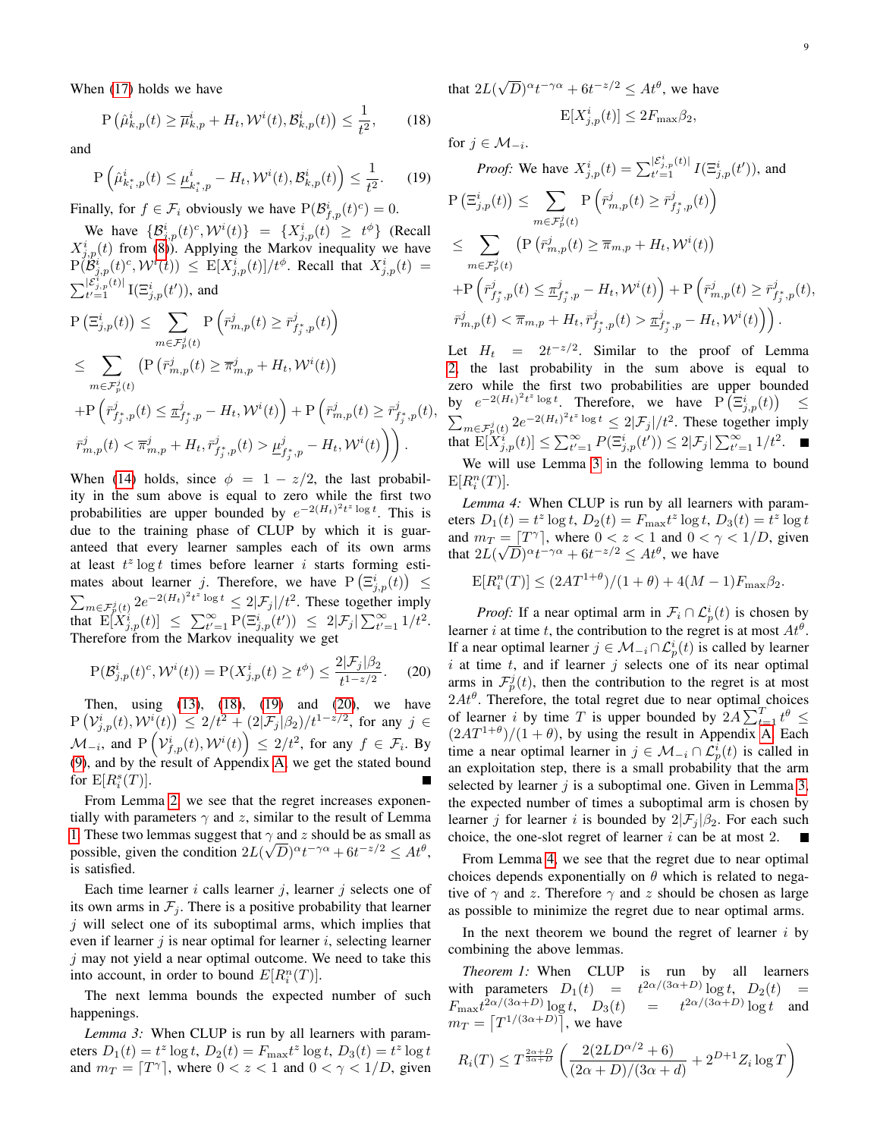When [\(17\)](#page-7-4) holds we have

$$
\mathcal{P}\left(\hat{\mu}_{k,p}^i(t) \ge \overline{\mu}_{k,p}^i + H_t, \mathcal{W}^i(t), \mathcal{B}_{k,p}^i(t)\right) \le \frac{1}{t^2},\qquad(18)
$$

and

$$
\mathbf{P}\left(\hat{\mu}_{k_i^*,p}^i(t) \le \underline{\mu}_{k_i^*,p}^i - H_t, \mathcal{W}^i(t), \mathcal{B}_{k,p}^i(t)\right) \le \frac{1}{t^2}.\tag{19}
$$

Finally, for  $f \in \mathcal{F}_i$  obviously we have  $P(\mathcal{B}_{f,p}^i(t)^c) = 0$ .

We have  $\{\mathcal{B}_{j,p}^{i}(t)^{c}, \mathcal{W}^{i}(t)\} = \{X_{j,p}^{i}(t) \geq t^{\phi}\}\$  (Recall  $X_{j,p}^{i}(t)$  from [\(8\)](#page-6-2)). Applying the Markov inequality we have  $\text{P}(\hat{\mathcal{B}}_{j,p}^i(t)^c, \mathcal{W}^i(t)) \leq \text{E}[X_{j,p}^i(t)]/t^{\phi}$ . Recall that  $X_{j,p}^i(t) =$  $\sum_{t'=1}^{|\mathcal{E}_{j,p}^{i*}(t)|} I(\Xi_{j,p}^{i}(t'))$ , and

$$
\begin{aligned} &\text{P}\left(\Xi^{i}_{j,p}(t)\right)\leq\sum_{m\in\mathcal{F}^{j}_{p}(t)}\text{P}\left(\bar{r}^{j}_{m,p}(t)\geq\bar{r}^{j}_{f^{*}_{j},p}(t)\right)\\ &\leq\sum_{m\in\mathcal{F}^{j}_{p}(t)}\left(\text{P}\left(\bar{r}^{j}_{m,p}(t)\geq\overline{\pi}^{j}_{m,p}+H_{t},\mathcal{W}^{i}(t)\right)\right.\\ &\left.+\text{P}\left(\bar{r}^{j}_{f^{*}_{j},p}(t)\leq\underline{\pi}^{j}_{f^{*}_{j},p}-H_{t},\mathcal{W}^{i}(t)\right)+\text{P}\left(\bar{r}^{j}_{m,p}(t)\geq\bar{r}^{j}_{f^{*}_{j},p}(t),\right.\right.\\ &\left.\bar{r}^{j}_{m,p}(t)<\overline{\pi}^{j}_{m,p}+H_{t},\bar{r}^{j}_{f^{*}_{j},p}(t)>\underline{\mu}^{j}_{f^{*}_{j},p}-H_{t},\mathcal{W}^{i}(t)\right)\right). \label{eq:prob-1-1} \end{aligned}
$$

When [\(14\)](#page-7-1) holds, since  $\phi = 1 - z/2$ , the last probability in the sum above is equal to zero while the first two probabilities are upper bounded by  $e^{-2(H_t)^2 t^2 \log t}$ . This is due to the training phase of CLUP by which it is guaranteed that every learner samples each of its own arms at least  $t^z \log t$  times before learner i starts forming estimates about learner j. Therefore, we have  $P\left(\Xi_{j,p}^{i}(t)\right) \leq$  $\sum_{m \in \mathcal{F}_p^j(t)} 2e^{-2(H_t)^2 t^2 \log t} \leq 2|\mathcal{F}_j|/t^2$ . These together imply that  $\mathbb{E}[X_{j,p}^{i}(t)] \leq \sum_{t'=1}^{\infty} P(\Xi_{j,p}^{i}(t')) \leq 2|\mathcal{F}_{j}| \sum_{t'=1}^{\infty} 1/t^{2}$ . Therefore from the Markov inequality we get

$$
P(\mathcal{B}_{j,p}^{i}(t)^{c}, \mathcal{W}^{i}(t)) = P(X_{j,p}^{i}(t) \ge t^{\phi}) \le \frac{2|\mathcal{F}_{j}|\beta_{2}}{t^{1-z/2}}.
$$
 (20)

Then, using  $(13)$ ,  $(18)$ ,  $(19)$  and  $(20)$ , we have  $P(\mathcal{V}_{j,p}^i(t), \mathcal{W}^i(t)) \leq 2/t^2 + (2|\mathcal{F}_j|\beta_2)/t^{1-z/2}$ , for any  $j \in$  $\mathcal{M}_{-i}$ , and  $P\left(\mathcal{V}_{f,p}^{i}(t), \mathcal{W}^{i}(t)\right) \leq 2/t^2$ , for any  $f \in \mathcal{F}_i$ . By [\(9\)](#page-7-6), and by the result of Appendix [A,](#page-15-9) we get the stated bound for  $E[R_i^s(T)].$ 

From Lemma [2,](#page-7-7) we see that the regret increases exponentially with parameters  $\gamma$  and z, similar to the result of Lemma [1.](#page-6-1) These two lemmas suggest that  $\gamma$  and z should be as small as possible, given the condition  $2L(\sqrt{D})^{\alpha}t^{-\gamma\alpha} + 6t^{-z/2} \leq At^{\theta}$ , is satisfied.

Each time learner  $i$  calls learner  $j$ , learner  $j$  selects one of its own arms in  $\mathcal{F}_j$ . There is a positive probability that learner  $j$  will select one of its suboptimal arms, which implies that even if learner  $j$  is near optimal for learner  $i$ , selecting learner  $j$  may not yield a near optimal outcome. We need to take this into account, in order to bound  $E[R_i^n(T)]$ .

<span id="page-8-3"></span>The next lemma bounds the expected number of such happenings.

*Lemma 3:* When CLUP is run by all learners with parameters  $D_1(t) = t^z \log t$ ,  $D_2(t) = F_{\text{max}} t^z \log t$ ,  $D_3(t) = t^z \log t$ and  $m_T = \lceil T^{\gamma} \rceil$ , where  $0 < z < 1$  and  $0 < \gamma < 1/D$ , given that  $2L($ √  $\overline{D})^{\alpha}t^{-\gamma\alpha} + 6t^{-z/2} \leq At^{\theta}$ , we have  $E[X^i_{j,p}(t)] \leq 2F_{\text{max}}\beta_2,$ 

<span id="page-8-0"></span>for  $j \in \mathcal{M}_{-i}$ .

<span id="page-8-1"></span>Proof: We have 
$$
X_{j,p}^{i}(t) = \sum_{t'=1}^{|\mathcal{E}_{j,p}^{i}(t)|} I(\Xi_{j,p}^{i}(t'))
$$
, and  
\n
$$
P(\Xi_{j,p}^{i}(t)) \leq \sum_{m \in \mathcal{F}_{p}^{j}(t)} P(\bar{r}_{m,p}^{j}(t) \geq \bar{r}_{f_{j}^{*},p}^{j}(t))
$$
\n
$$
\leq \sum_{m \in \mathcal{F}_{p}^{j}(t)} (P(\bar{r}_{m,p}^{j}(t) \geq \overline{\pi}_{m,p} + H_{t}, \mathcal{W}^{i}(t))
$$
\n
$$
+ P(\bar{r}_{f_{j}^{*},p}^{j}(t) \leq \underline{\pi}_{f_{j}^{*},p}^{j} - H_{t}, \mathcal{W}^{i}(t)) + P(\bar{r}_{m,p}^{j}(t) \geq \bar{r}_{f_{j}^{*},p}^{j}(t),
$$
\n
$$
\bar{r}_{m,p}^{j}(t) < \overline{\pi}_{m,p} + H_{t}, \bar{r}_{f_{j}^{*},p}^{j}(t) > \underline{\pi}_{f_{j}^{*},p}^{j} - H_{t}, \mathcal{W}^{i}(t)) \Big).
$$

 $|ei - ev|$ 

Let  $H_t = 2t^{-z/2}$ . Similar to the proof of Lemma [2,](#page-7-7) the last probability in the sum above is equal to zero while the first two probabilities are upper bounded by  $e^{-2(H_t)^2 t^2 \log t}$ . Therefore, we have  $\overline{P}(\Xi_{j,p}^i(t))$ ≤  $\sum_{m \in \mathcal{F}_p^j(t)} 2e^{-2(H_t)^2 t^2 \log t} \leq 2|\mathcal{F}_j|/t^2$ . These together imply that  $\mathbb{E}[X_{j,p}^{i}(t)] \leq \sum_{t'=1}^{\infty} P(\Xi_{j,p}^{i}(t')) \leq 2|\mathcal{F}_j| \sum_{t'=1}^{\infty} 1/t^2$ .

We will use Lemma [3](#page-8-3) in the following lemma to bound  $E[R_i^n(T)].$ 

<span id="page-8-4"></span>*Lemma 4:* When CLUP is run by all learners with parameters  $D_1(t) = t^z \log t$ ,  $D_2(t) = F_{\text{max}} t^z \log t$ ,  $D_3(t) = t^z \log t$ and  $m_T = \boxed{T^\gamma}$ , where  $0 < z < 1$  and  $0 < \gamma < 1/D$ , given that  $2L(\sqrt{D})^{\alpha}t^{-\gamma\alpha} + 6t^{-z/2} \leq At^{\theta}$ , we have

$$
E[R_i^n(T)] \le (2AT^{1+\theta})/(1+\theta) + 4(M-1)F_{\max}\beta_2.
$$

<span id="page-8-2"></span>*Proof:* If a near optimal arm in  $\mathcal{F}_i \cap \mathcal{L}_p^i(t)$  is chosen by learner i at time t, the contribution to the regret is at most  $At^{\theta}$ . If a near optimal learner  $j \in \mathcal{M}_{-i} \cap \mathcal{L}_p^i(t)$  is called by learner i at time  $t$ , and if learner j selects one of its near optimal arms in  $\mathcal{F}_{p}^{j}(t)$ , then the contribution to the regret is at most  $2At^{\theta}$ . Therefore, the total regret due to near optimal choices of learner *i* by time T is upper bounded by  $2A \sum_{t=1}^{T} t^{\theta} \le$  $\left(2AT^{1+\theta}\right)/(1+\theta)$ , by using the result in Appendix [A.](#page-15-9) Each time a near optimal learner in  $j \in \mathcal{M}_{-i} \cap \mathcal{L}_p^i(t)$  is called in an exploitation step, there is a small probability that the arm selected by learner  $i$  is a suboptimal one. Given in Lemma [3,](#page-8-3) the expected number of times a suboptimal arm is chosen by learner j for learner i is bounded by  $2|\mathcal{F}_j|\beta_2$ . For each such choice, the one-slot regret of learner  $i$  can be at most 2.

From Lemma [4,](#page-8-4) we see that the regret due to near optimal choices depends exponentially on  $\theta$  which is related to negative of  $\gamma$  and z. Therefore  $\gamma$  and z should be chosen as large as possible to minimize the regret due to near optimal arms.

In the next theorem we bound the regret of learner  $i$  by combining the above lemmas.

<span id="page-8-5"></span>*Theorem 1:* When CLUP is run by all learners with parameters  $D_1(t) = t^{2\alpha/(3\alpha+D)} \log t$ ,  $D_2(t) =$  $F_{\text{max}}t^{2\alpha/(3\alpha+D)}\log t$ ,  $D_3(t) = t^{2\alpha/(3\alpha+D)}\log t$  and  $m_T = \left[ T^{1/(3\alpha+D)} \right]$ , we have

$$
R_i(T) \le T^{\frac{2\alpha + D}{3\alpha + D}} \left( \frac{2(2LD^{\alpha/2} + 6)}{(2\alpha + D)/(3\alpha + d)} + 2^{D+1} Z_i \log T \right)
$$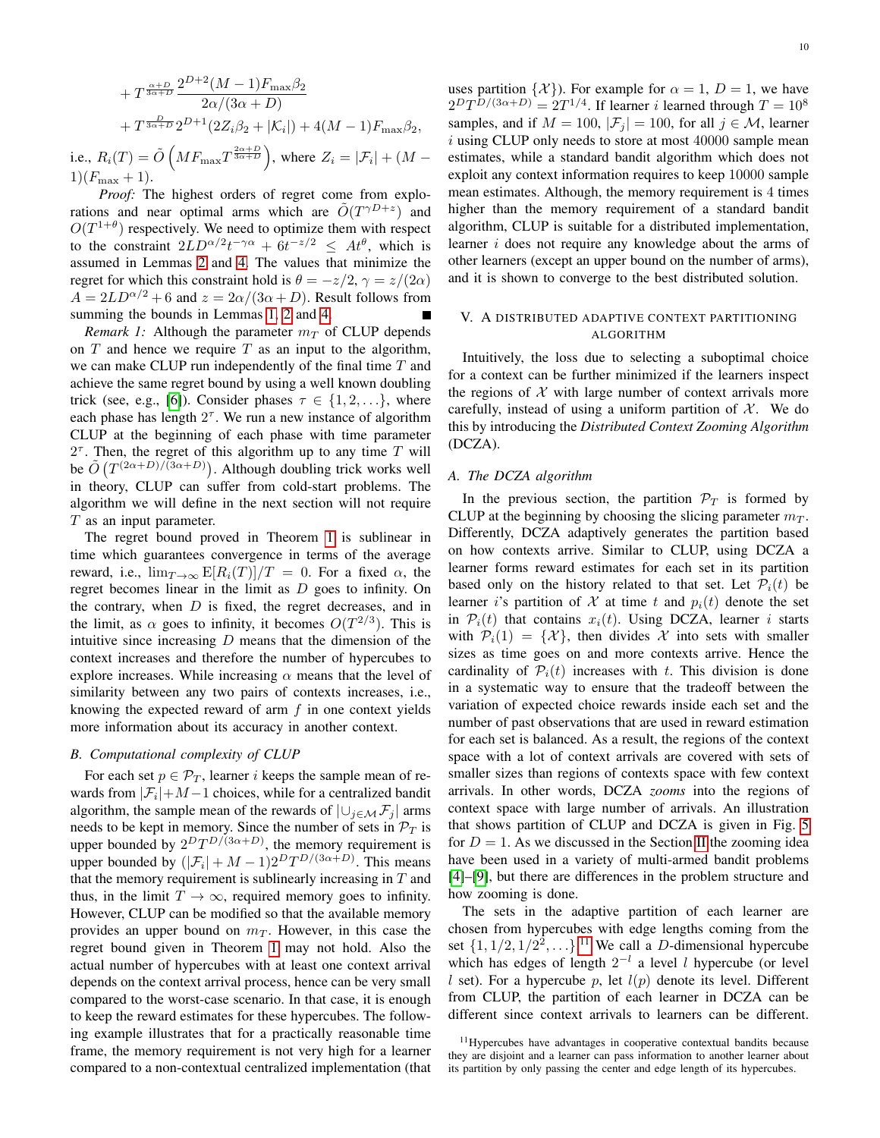+ 
$$
T^{\frac{\alpha+D}{3\alpha+D}} \frac{2^{D+2}(M-1)F_{\max}\beta_2}{2\alpha/(3\alpha+D)}
$$
  
+  $T^{\frac{D}{3\alpha+D}} 2^{D+1}(2Z_i\beta_2 + |K_i|) + 4(M-1)F_{\max}\beta_2$ ,

i.e.,  $R_i(T) = \tilde{O}\left(MF_{\text{max}}T^{\frac{2\alpha+D}{3\alpha+D}}\right)$ , where  $Z_i = |\mathcal{F}_i| + (M 1)(F_{\text{max}} + 1).$ 

*Proof:* The highest orders of regret come from explorations and near optimal arms which are  $\tilde{O}(T^{\gamma D+z})$  and  $O(T^{1+\theta})$  respectively. We need to optimize them with respect to the constraint  $2LD^{\alpha/2}t^{-\gamma\alpha} + 6t^{-z/2} \leq At^{\theta}$ , which is assumed in Lemmas [2](#page-7-7) and [4.](#page-8-4) The values that minimize the regret for which this constraint hold is  $\theta = -z/2$ ,  $\gamma = z/(2\alpha)$  $A = 2LD^{\alpha/2} + 6$  and  $z = 2\alpha/(3\alpha + D)$ . Result follows from summing the bounds in Lemmas [1,](#page-6-1) [2](#page-7-7) and [4.](#page-8-4)

*Remark 1:* Although the parameter  $m<sub>T</sub>$  of CLUP depends on  $T$  and hence we require  $T$  as an input to the algorithm, we can make CLUP run independently of the final time T and achieve the same regret bound by using a well known doubling trick (see, e.g., [\[6\]](#page-15-6)). Consider phases  $\tau \in \{1, 2, \ldots\}$ , where each phase has length  $2^{\tau}$ . We run a new instance of algorithm CLUP at the beginning of each phase with time parameter  $2^{\tau}$ . Then, the regret of this algorithm up to any time T will be  $\tilde{O}(T^{(2\alpha+D)/(3\alpha+D)})$ . Although doubling trick works well in theory, CLUP can suffer from cold-start problems. The algorithm we will define in the next section will not require  $T$  as an input parameter.

The regret bound proved in Theorem [1](#page-8-5) is sublinear in time which guarantees convergence in terms of the average reward, i.e.,  $\lim_{T\to\infty} E[R_i(T)]/T = 0$ . For a fixed  $\alpha$ , the regret becomes linear in the limit as  $D$  goes to infinity. On the contrary, when  $D$  is fixed, the regret decreases, and in the limit, as  $\alpha$  goes to infinity, it becomes  $O(T^{2/3})$ . This is intuitive since increasing  $D$  means that the dimension of the context increases and therefore the number of hypercubes to explore increases. While increasing  $\alpha$  means that the level of similarity between any two pairs of contexts increases, i.e., knowing the expected reward of arm  $f$  in one context yields more information about its accuracy in another context.

#### *B. Computational complexity of CLUP*

For each set  $p \in \mathcal{P}_T$ , learner *i* keeps the sample mean of rewards from  $|\mathcal{F}_i|+M-1$  choices, while for a centralized bandit algorithm, the sample mean of the rewards of  $|\bigcup_{i\in\mathcal{M}}\mathcal{F}_i|$  arms needs to be kept in memory. Since the number of sets in  $\mathcal{P}_T$  is upper bounded by  $2^{D}T^{D/(3\alpha+D)}$ , the memory requirement is upper bounded by  $(|\mathcal{F}_i| + M - 1)2^D T^{D/(3\alpha + D)}$ . This means that the memory requirement is sublinearly increasing in  $T$  and thus, in the limit  $T \to \infty$ , required memory goes to infinity. However, CLUP can be modified so that the available memory provides an upper bound on  $m<sub>T</sub>$ . However, in this case the regret bound given in Theorem [1](#page-8-5) may not hold. Also the actual number of hypercubes with at least one context arrival depends on the context arrival process, hence can be very small compared to the worst-case scenario. In that case, it is enough to keep the reward estimates for these hypercubes. The following example illustrates that for a practically reasonable time frame, the memory requirement is not very high for a learner compared to a non-contextual centralized implementation (that

uses partition  $\{\mathcal{X}\}\)$ . For example for  $\alpha = 1$ ,  $D = 1$ , we have  $2^{D}T^{D/(3\alpha+D)}=2T^{1/4}$ . If learner *i* learned through  $T=10^{8}$ samples, and if  $M = 100$ ,  $|\mathcal{F}_j| = 100$ , for all  $j \in \mathcal{M}$ , learner  $i$  using CLUP only needs to store at most  $40000$  sample mean estimates, while a standard bandit algorithm which does not exploit any context information requires to keep 10000 sample mean estimates. Although, the memory requirement is 4 times higher than the memory requirement of a standard bandit algorithm, CLUP is suitable for a distributed implementation, learner i does not require any knowledge about the arms of other learners (except an upper bound on the number of arms), and it is shown to converge to the best distributed solution.

## <span id="page-9-0"></span>V. A DISTRIBUTED ADAPTIVE CONTEXT PARTITIONING ALGORITHM

Intuitively, the loss due to selecting a suboptimal choice for a context can be further minimized if the learners inspect the regions of  $X$  with large number of context arrivals more carefully, instead of using a uniform partition of  $X$ . We do this by introducing the *Distributed Context Zooming Algorithm* (DCZA).

#### *A. The DCZA algorithm*

In the previous section, the partition  $\mathcal{P}_T$  is formed by CLUP at the beginning by choosing the slicing parameter  $m<sub>T</sub>$ . Differently, DCZA adaptively generates the partition based on how contexts arrive. Similar to CLUP, using DCZA a learner forms reward estimates for each set in its partition based only on the history related to that set. Let  $\mathcal{P}_i(t)$  be learner i's partition of X at time t and  $p_i(t)$  denote the set in  $P_i(t)$  that contains  $x_i(t)$ . Using DCZA, learner i starts with  $P_i(1) = \{X\}$ , then divides X into sets with smaller sizes as time goes on and more contexts arrive. Hence the cardinality of  $P_i(t)$  increases with t. This division is done in a systematic way to ensure that the tradeoff between the variation of expected choice rewards inside each set and the number of past observations that are used in reward estimation for each set is balanced. As a result, the regions of the context space with a lot of context arrivals are covered with sets of smaller sizes than regions of contexts space with few context arrivals. In other words, DCZA *zooms* into the regions of context space with large number of arrivals. An illustration that shows partition of CLUP and DCZA is given in Fig. [5](#page-10-0) for  $D = 1$ . As we discussed in the Section [II](#page-1-0) the zooming idea have been used in a variety of multi-armed bandit problems [\[4\]](#page-15-3)–[\[9\]](#page-15-4), but there are differences in the problem structure and how zooming is done.

The sets in the adaptive partition of each learner are chosen from hypercubes with edge lengths coming from the set  $\{1, 1/2, 1/2^2, \ldots\}$ .<sup>[11](#page-9-1)</sup> We call a *D*-dimensional hypercube which has edges of length  $2^{-l}$  a level l hypercube (or level l set). For a hypercube p, let  $l(p)$  denote its level. Different from CLUP, the partition of each learner in DCZA can be different since context arrivals to learners can be different.

<span id="page-9-1"></span> $11$ Hypercubes have advantages in cooperative contextual bandits because they are disjoint and a learner can pass information to another learner about its partition by only passing the center and edge length of its hypercubes.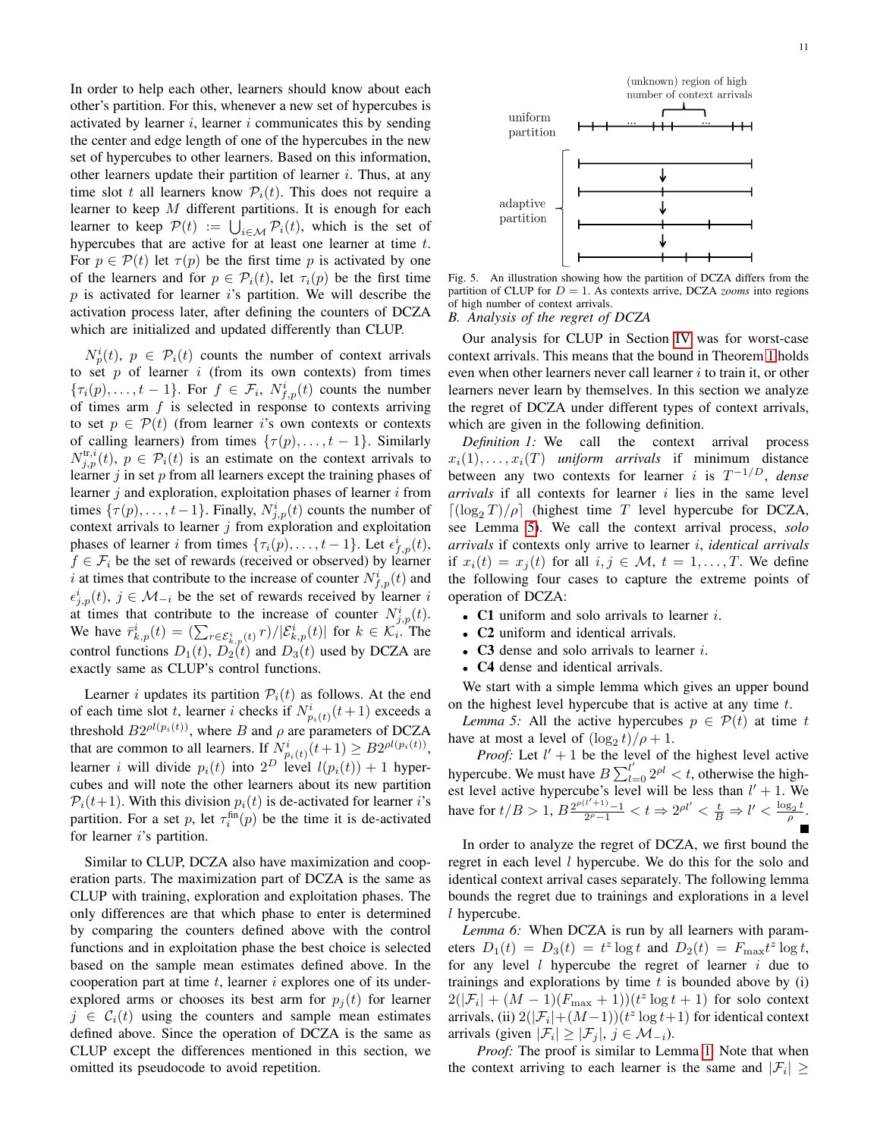In order to help each other, learners should know about each other's partition. For this, whenever a new set of hypercubes is activated by learner  $i$ , learner  $i$  communicates this by sending the center and edge length of one of the hypercubes in the new set of hypercubes to other learners. Based on this information, other learners update their partition of learner  $i$ . Thus, at any time slot t all learners know  $P_i(t)$ . This does not require a learner to keep  $M$  different partitions. It is enough for each learner to keep  $\mathcal{P}(t) := \bigcup_{i \in \mathcal{M}} \mathcal{P}_i(t)$ , which is the set of hypercubes that are active for at least one learner at time t. For  $p \in \mathcal{P}(t)$  let  $\tau(p)$  be the first time p is activated by one of the learners and for  $p \in \mathcal{P}_i(t)$ , let  $\tau_i(p)$  be the first time  $p$  is activated for learner is partition. We will describe the activation process later, after defining the counters of DCZA which are initialized and updated differently than CLUP.

 $N_p^i(t)$ ,  $p \in \mathcal{P}_i(t)$  counts the number of context arrivals to set  $p$  of learner  $i$  (from its own contexts) from times  $\{\tau_i(p), \ldots, t-1\}$ . For  $f \in \mathcal{F}_i$ ,  $N_{f,p}^i(t)$  counts the number of times arm  $f$  is selected in response to contexts arriving to set  $p \in \mathcal{P}(t)$  (from learner is own contexts or contexts of calling learners) from times  $\{\tau(p), \ldots, t-1\}$ . Similarly  $N_{j,p}^{\text{tr},i}(t)$ ,  $p \in \mathcal{P}_i(t)$  is an estimate on the context arrivals to learner  $j$  in set  $p$  from all learners except the training phases of learner  $j$  and exploration, exploitation phases of learner  $i$  from times  $\{\tau(p), \ldots, t-1\}$ . Finally,  $N_{j,p}^i(t)$  counts the number of context arrivals to learner  $j$  from exploration and exploitation phases of learner *i* from times  $\{\tau_i(p), \ldots, t-1\}$ . Let  $\epsilon_{f,p}^i(t)$ ,  $f \in \mathcal{F}_i$  be the set of rewards (received or observed) by learner i at times that contribute to the increase of counter  $N_{f,p}^{i}(t)$  and  $\epsilon_{j,p}^{i}(t), j \in \mathcal{M}_{-i}$  be the set of rewards received by learner i at times that contribute to the increase of counter  $N_{j,p}^i(t)$ . We have  $\bar{r}_{k,p}^i(t) = \left(\sum_{r \in \mathcal{E}_{k,p}^i(t)} r\right) / |\mathcal{E}_{k,p}^i(t)|$  for  $k \in \mathcal{K}_i$ . The control functions  $D_1(t)$ ,  $D_2(t)$  and  $D_3(t)$  used by DCZA are exactly same as CLUP's control functions.

Learner *i* updates its partition  $P_i(t)$  as follows. At the end of each time slot *t*, learner *i* checks if  $N_{p_i(t)}^i(t+1)$  exceeds a threshold  $B2^{\rho l(p_i(t))}$ , where B and  $\rho$  are parameters of DCZA that are common to all learners. If  $N_{p_i(t)}^i(t+1) \geq B2^{\rho l(p_i(t))}$ , learner *i* will divide  $p_i(t)$  into  $2^D$  level  $l(p_i(t)) + 1$  hypercubes and will note the other learners about its new partition  $P_i(t+1)$ . With this division  $p_i(t)$  is de-activated for learner i's partition. For a set p, let  $\tau_i^{\text{fin}}(p)$  be the time it is de-activated for learner  $i$ 's partition.

Similar to CLUP, DCZA also have maximization and cooperation parts. The maximization part of DCZA is the same as CLUP with training, exploration and exploitation phases. The only differences are that which phase to enter is determined by comparing the counters defined above with the control functions and in exploitation phase the best choice is selected based on the sample mean estimates defined above. In the cooperation part at time  $t$ , learner  $i$  explores one of its underexplored arms or chooses its best arm for  $p_i(t)$  for learner  $j \in \mathcal{C}_i(t)$  using the counters and sample mean estimates defined above. Since the operation of DCZA is the same as CLUP except the differences mentioned in this section, we omitted its pseudocode to avoid repetition.



<span id="page-10-0"></span>Fig. 5. An illustration showing how the partition of DCZA differs from the partition of CLUP for  $D = 1$ . As contexts arrive, DCZA *zooms* into regions of high number of context arrivals. *B. Analysis of the regret of DCZA*

Our analysis for CLUP in Section [IV](#page-4-0) was for worst-case context arrivals. This means that the bound in Theorem [1](#page-8-5) holds even when other learners never call learner  $i$  to train it, or other learners never learn by themselves. In this section we analyze the regret of DCZA under different types of context arrivals, which are given in the following definition.

<span id="page-10-3"></span>*Definition 1:* We call the context arrival process  $x_i(1), \ldots, x_i(T)$  *uniform arrivals* if minimum distance between any two contexts for learner  $i$  is  $T^{-1/D}$ , *dense arrivals* if all contexts for learner i lies in the same level  $\lceil (\log_2 T)/\rho \rceil$  (highest time T level hypercube for DCZA, see Lemma [5\)](#page-10-1). We call the context arrival process, *solo arrivals* if contexts only arrive to learner i, *identical arrivals* if  $x_i(t) = x_j(t)$  for all  $i, j \in \mathcal{M}, t = 1, \ldots, T$ . We define the following four cases to capture the extreme points of operation of DCZA:

- $C1$  uniform and solo arrivals to learner *i*.
- C2 uniform and identical arrivals.
- C3 dense and solo arrivals to learner  $i$ .
- <span id="page-10-1"></span>C4 dense and identical arrivals.

We start with a simple lemma which gives an upper bound on the highest level hypercube that is active at any time  $t$ .

*Lemma 5:* All the active hypercubes  $p \in \mathcal{P}(t)$  at time t have at most a level of  $(\log_2 t)/\rho + 1$ .

*Proof:* Let  $l' + 1$  be the level of the highest level active hypercube. We must have  $B \sum_{l=0}^{l'} 2^{l'} < t$ , otherwise the highest level active hypercube's level will be less than  $l' + 1$ . We have for  $t/B > 1$ ,  $B \frac{2^{\rho(l'+1)} - 1}{2^{\rho-1}} < t \Rightarrow 2^{\rho l'} < \frac{t}{B} \Rightarrow l' < \frac{\log_2 t}{\rho}$  $\frac{\mathsf{B}_2\ \iota}{\rho}$ .

In order to analyze the regret of DCZA, we first bound the regret in each level l hypercube. We do this for the solo and identical context arrival cases separately. The following lemma bounds the regret due to trainings and explorations in a level l hypercube.

<span id="page-10-2"></span>*Lemma 6:* When DCZA is run by all learners with parameters  $D_1(t) = D_3(t) = t^2 \log t$  and  $D_2(t) = F_{\text{max}} t^2 \log t$ , for any level  $l$  hypercube the regret of learner  $i$  due to trainings and explorations by time  $t$  is bounded above by  $(i)$  $2(|\mathcal{F}_i| + (M-1)(F_{\text{max}}+1))(t^z \log t + 1)$  for solo context arrivals, (ii)  $2(|\mathcal{F}_i| + (M-1))(t^z \log t + 1)$  for identical context arrivals (given  $|\mathcal{F}_i| \geq |\mathcal{F}_j|$ ,  $j \in \mathcal{M}_{-i}$ ).

*Proof:* The proof is similar to Lemma [1.](#page-6-1) Note that when the context arriving to each learner is the same and  $|\mathcal{F}_i| \geq$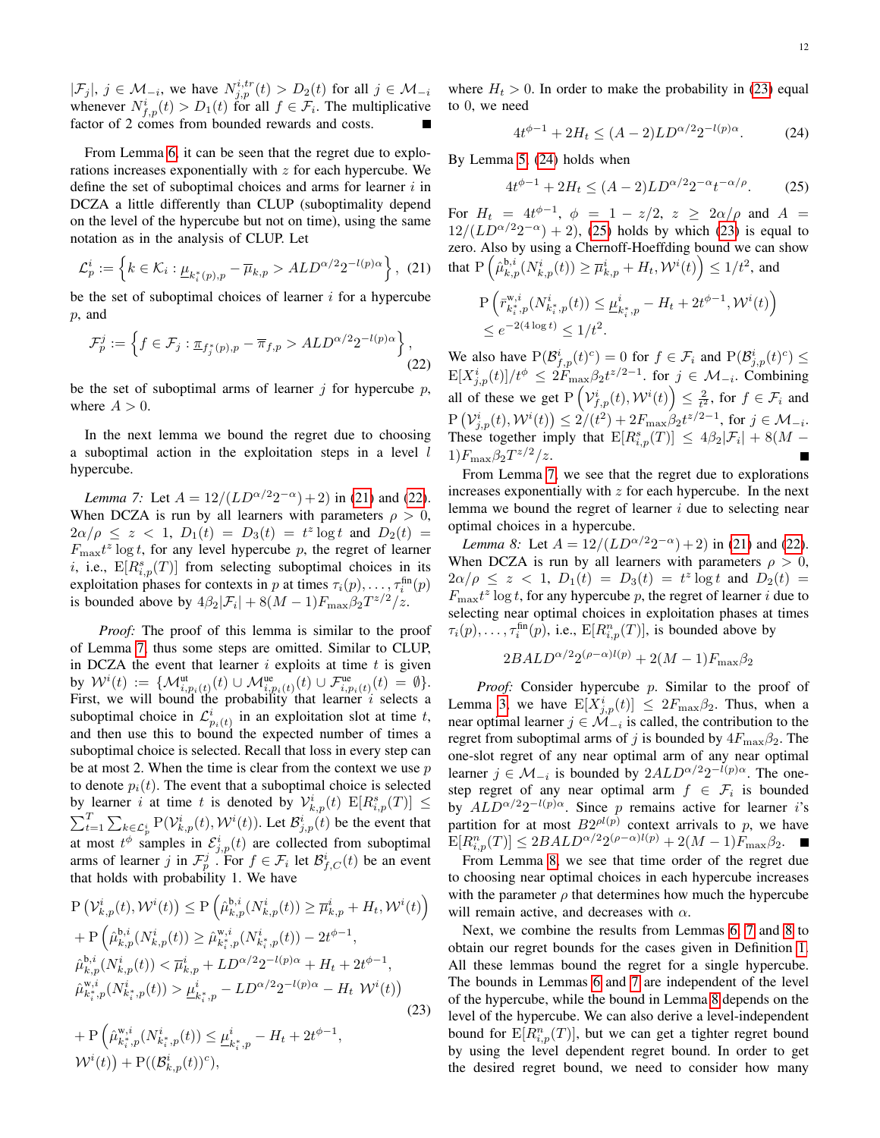$|\mathcal{F}_j|, j \in \mathcal{M}_{-i}$ , we have  $N_{j,p}^{i,tr}(t) > D_2(t)$  for all  $j \in \mathcal{M}_{-i}$ whenever  $N_{f,p}^{i}(t) > D_1(t)$  for all  $f \in \mathcal{F}_i$ . The multiplicative factor of 2 comes from bounded rewards and costs.

From Lemma [6,](#page-10-2) it can be seen that the regret due to explorations increases exponentially with z for each hypercube. We define the set of suboptimal choices and arms for learner  $i$  in DCZA a little differently than CLUP (suboptimality depend on the level of the hypercube but not on time), using the same notation as in the analysis of CLUP. Let

$$
\mathcal{L}_p^i := \left\{ k \in \mathcal{K}_i : \underline{\mu}_{k_i^*(p),p} - \overline{\mu}_{k,p} > ALD^{\alpha/2} 2^{-l(p)\alpha} \right\}, \tag{21}
$$

be the set of suboptimal choices of learner  $i$  for a hypercube p, and

$$
\mathcal{F}_p^j := \left\{ f \in \mathcal{F}_j : \underline{\pi}_{f_j^*(p), p} - \overline{\pi}_{f, p} > ALD^{\alpha/2} 2^{-l(p)\alpha} \right\},\tag{22}
$$

be the set of suboptimal arms of learner  $j$  for hypercube  $p$ , where  $A > 0$ .

In the next lemma we bound the regret due to choosing a suboptimal action in the exploitation steps in a level  $l$ hypercube.

<span id="page-11-2"></span>*Lemma 7:* Let  $A = 12/(LD^{\alpha/2}2^{-\alpha}) + 2$  in [\(21\)](#page-11-0) and [\(22\)](#page-11-1). When DCZA is run by all learners with parameters  $\rho > 0$ ,  $2\alpha/\rho \leq z < 1$ ,  $D_1(t) = D_3(t) = t^z \log t$  and  $D_2(t) =$  $F_{\text{max}}t^z \log t$ , for any level hypercube p, the regret of learner i, i.e.,  $E[R_{i,p}^{s}(T)]$  from selecting suboptimal choices in its exploitation phases for contexts in p at times  $\tau_i(p), \ldots, \tau_i^{\text{fin}}(p)$ is bounded above by  $4\beta_2|\mathcal{F}_i| + 8(M-1)F_{\text{max}}\beta_2T^{z/2}/z$ .

*Proof:* The proof of this lemma is similar to the proof of Lemma [7,](#page-11-2) thus some steps are omitted. Similar to CLUP, in DCZA the event that learner  $i$  exploits at time  $t$  is given by  $\mathcal{W}^{i}(t) := \{ \mathcal{M}^{\mathsf{ut}}_{i, p_i(t)}(t) \cup \mathcal{M}^{\mathsf{ue}}_{i, p_i(t)}(t) \cup \mathcal{F}^{\mathsf{ue}}_{i, p_i(t)}(t) = \emptyset \}.$ First, we will bound the probability that learner  $i$  selects a suboptimal choice in  $\mathcal{L}_{p_i(t)}^i$  in an exploitation slot at time t, and then use this to bound the expected number of times a suboptimal choice is selected. Recall that loss in every step can be at most 2. When the time is clear from the context we use  $p$ to denote  $p_i(t)$ . The event that a suboptimal choice is selected by learner *i* at time *t* is denoted by  $\mathcal{V}_{k,p}^{i}(t)$   $\mathbb{E}[R_{i,p}^{s}(T)] \leq$  $\sum_{t=1}^T \sum_{k \in \mathcal{L}_p^i} \mathbb{P}(\mathcal{V}_{k,p}^i(t), \mathcal{W}^i(t))$ . Let  $\mathcal{B}_{j,p}^i(t)$  be the event that at most  $t^{\phi}$  samples in  $\mathcal{E}^{i}_{j,p}(t)$  are collected from suboptimal arms of learner j in  $\mathcal{F}_p^j$ . For  $f \in \mathcal{F}_i$  let  $\mathcal{B}_{f,C}^i(t)$  be an event that holds with probability 1. We have

$$
P(\mathcal{V}_{k,p}^{i}(t), \mathcal{W}^{i}(t)) \leq P(\hat{\mu}_{k,p}^{b,i}(N_{k,p}^{i}(t)) \geq \overline{\mu}_{k,p}^{i} + H_{t}, \mathcal{W}^{i}(t))
$$
  
+ 
$$
P(\hat{\mu}_{k,p}^{b,i}(N_{k,p}^{i}(t)) \geq \hat{\mu}_{k,p}^{w,i}(N_{k,p}^{i}(t)) - 2t^{\phi-1},
$$
  

$$
\hat{\mu}_{k,p}^{b,i}(N_{k,p}^{i}(t)) < \overline{\mu}_{k,p}^{i} + LD^{\alpha/2}2^{-l(p)\alpha} + H_{t} + 2t^{\phi-1},
$$
  

$$
\hat{\mu}_{k,p}^{w,i}(N_{k,p}^{i}(t)) > \underline{\mu}_{k,p}^{i} - LD^{\alpha/2}2^{-l(p)\alpha} - H_{t} \mathcal{W}^{i}(t))
$$
  
+ 
$$
P(\hat{\mu}_{k,p}^{w,i}(N_{k,p}^{i}(t)) \leq \underline{\mu}_{k,p}^{i} - H_{t} + 2t^{\phi-1},
$$
  

$$
\mathcal{W}^{i}(t)) + P((\mathcal{B}_{k,p}^{i}(t))^c),
$$
  
(23)

where  $H_t > 0$ . In order to make the probability in [\(23\)](#page-11-3) equal to 0, we need

<span id="page-11-5"></span><span id="page-11-4"></span>
$$
4t^{\phi-1} + 2H_t \le (A-2)LD^{\alpha/2}2^{-l(p)\alpha}.\tag{24}
$$

By Lemma [5,](#page-10-1) [\(24\)](#page-11-4) holds when

$$
4t^{\phi-1} + 2H_t \le (A-2)LD^{\alpha/2}2^{-\alpha}t^{-\alpha/\rho}.
$$
 (25)

<span id="page-11-0"></span>For  $H_t = 4t^{\phi-1}$ ,  $\phi = 1 - z/2$ ,  $z \ge 2\alpha/\rho$  and  $A =$  $12/(LD^{\alpha/2}2^{-\alpha}) + 2$ , [\(25\)](#page-11-5) holds by which [\(23\)](#page-11-3) is equal to zero. Also by using a Chernoff-Hoeffding bound we can show that  $P\left(\hat{\mu}_{k,p}^{b,i}(N_{k,p}^i(t)) \geq \overline{\mu}_{k,p}^i + H_t, \mathcal{W}^i(t)\right) \leq 1/t^2$ , and

$$
\begin{aligned} & \mathbf{P} \left( \bar{r}_{k_i^*,p}^{\mathbf{w},i}(N_{k_i^*,p}^i(t)) \leq \underline{\mu}_{k_i^*,p}^i - H_t + 2t^{\phi-1}, \mathcal{W}^i(t) \right) \\ &\leq e^{-2(4\log t)} \leq 1/t^2. \end{aligned}
$$

<span id="page-11-1"></span>We also have  $P(\mathcal{B}_{f,p}^i(t)^c) = 0$  for  $f \in \mathcal{F}_i$  and  $P(\mathcal{B}_{j,p}^i(t)^c) \leq$  $\mathbb{E}[X_{j,p}^i(t)]/t^{\phi} \leq 2 \widetilde{F}_{\text{max}} \beta_2 t^{z/2-1}$ . for  $j \in \mathcal{M}_{-i}$ . Combining all of these we get  $P\left(\mathcal{V}_{f,p}^{i}(t), \mathcal{W}^{i}(t)\right) \leq \frac{2}{t^2}$ , for  $f \in \mathcal{F}_i$  and  $P(\mathcal{V}_{j,p}^i(t), \mathcal{W}^i(t)) \leq 2/(t^2) + 2F_{\text{max}} \beta_2 t^{z/2-1}$ , for  $j \in \mathcal{M}_{-i}$ . These together imply that  $E[R_{i,p}^{s}(T)] \leq 4\beta_2|\mathcal{F}_i| + 8(M - 1)$  $1)F_{\text{max}}\beta_2T^{z/2}/z.$ 

From Lemma [7,](#page-11-2) we see that the regret due to explorations increases exponentially with  $z$  for each hypercube. In the next lemma we bound the regret of learner  $i$  due to selecting near optimal choices in a hypercube.

<span id="page-11-6"></span>*Lemma 8:* Let  $A = 12/(LD^{\alpha/2}2^{-\alpha}) + 2$  in [\(21\)](#page-11-0) and [\(22\)](#page-11-1). When DCZA is run by all learners with parameters  $\rho > 0$ ,  $2\alpha/\rho \leq z < 1$ ,  $D_1(t) = D_3(t) = t^z \log t$  and  $D_2(t) =$  $F_{\text{max}}t^z \log t$ , for any hypercube p, the regret of learner i due to selecting near optimal choices in exploitation phases at times  $\tau_i(p), \ldots, \tau_i^{\text{fin}}(p)$ , i.e.,  $\mathbb{E}[R_{i,p}^n(T)]$ , is bounded above by

$$
2BALD^{\alpha/2}2^{(\rho-\alpha)l(p)} + 2(M-1)F_{\text{max}}\beta_2
$$

*Proof:* Consider hypercube p. Similar to the proof of Lemma [3,](#page-8-3) we have  $E[X_{j,p}^i(t)] \leq 2F_{\text{max}}\beta_2$ . Thus, when a near optimal learner  $j \in \mathcal{M}_{-i}$  is called, the contribution to the regret from suboptimal arms of j is bounded by  $4F_{\text{max}}\beta_2$ . The one-slot regret of any near optimal arm of any near optimal learner  $j \in \mathcal{M}_{-i}$  is bounded by  $2ALD^{\alpha/2}2^{-l(p)\alpha}$ . The onestep regret of any near optimal arm  $f \in \mathcal{F}_i$  is bounded by  $ALD^{\alpha/2}2^{-l(p)\alpha}$ . Since p remains active for learner i's partition for at most  $B2^{\rho l(p)}$  context arrivals to p, we have  $\mathbb{E}[R_{i,p}^n(T)] \leq 2BALD^{\alpha/2}2^{(\rho-\alpha)l(p)} + 2(M-1)F_{\text{max}}\beta_2.$ 

From Lemma [8,](#page-11-6) we see that time order of the regret due to choosing near optimal choices in each hypercube increases with the parameter  $\rho$  that determines how much the hypercube will remain active, and decreases with  $\alpha$ .

<span id="page-11-3"></span>Next, we combine the results from Lemmas [6,](#page-10-2) [7](#page-11-2) and [8](#page-11-6) to obtain our regret bounds for the cases given in Definition [1.](#page-10-3) All these lemmas bound the regret for a single hypercube. The bounds in Lemmas [6](#page-10-2) and [7](#page-11-2) are independent of the level of the hypercube, while the bound in Lemma [8](#page-11-6) depends on the level of the hypercube. We can also derive a level-independent bound for  $E[R_{i,p}^n(T)]$ , but we can get a tighter regret bound by using the level dependent regret bound. In order to get the desired regret bound, we need to consider how many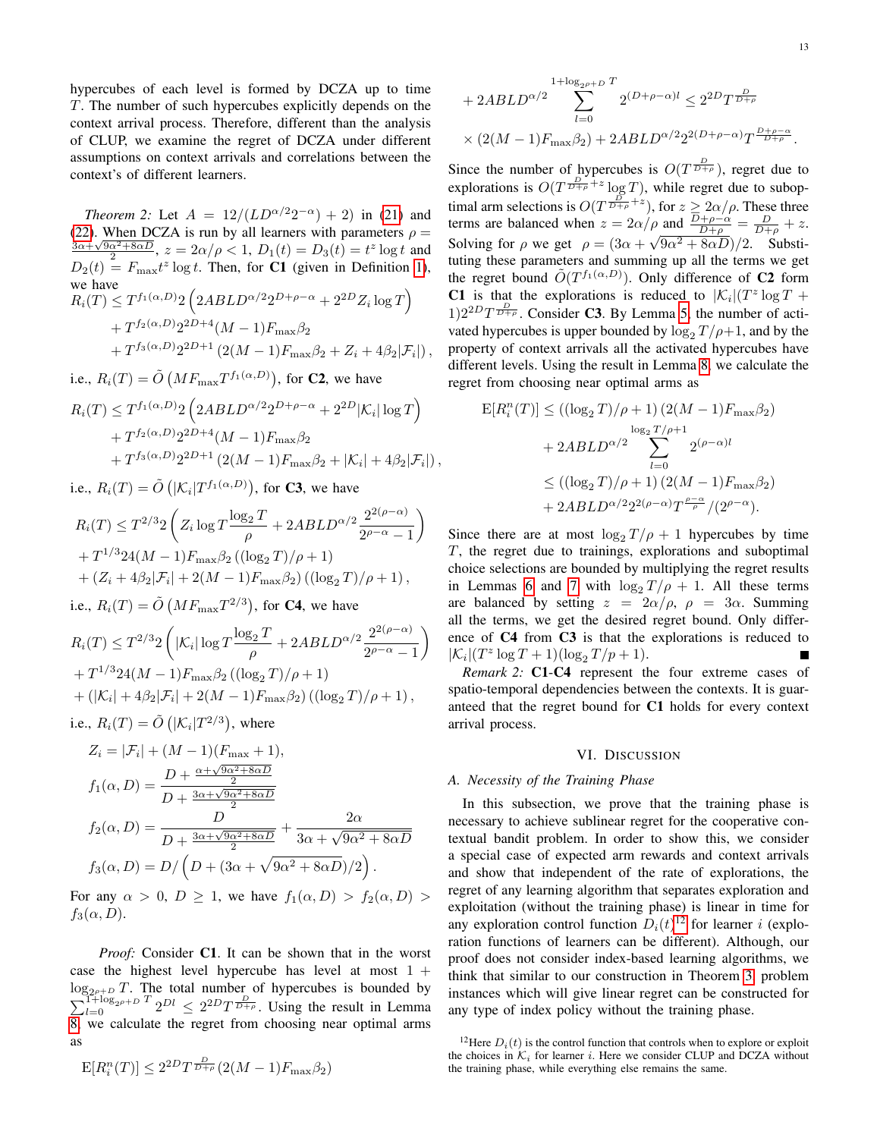hypercubes of each level is formed by DCZA up to time T. The number of such hypercubes explicitly depends on the context arrival process. Therefore, different than the analysis of CLUP, we examine the regret of DCZA under different assumptions on context arrivals and correlations between the context's of different learners.

<span id="page-12-3"></span>*Theorem 2:* Let  $A = 12/(LD^{\alpha/2}2^{-\alpha}) + 2$  in [\(21\)](#page-11-0) and [\(22\)](#page-11-1). When DCZA is run by all learners with parameters  $\rho =$  $\frac{3\alpha + \sqrt{9\alpha^2 + 8\alpha D}}{2}$ ,  $z = 2\alpha/\rho < 1$ ,  $D_1(t) = D_3(t) = t^z \log t$  and  $D_2(t) = F_{\text{max}} t^z \log t$ . Then, for C1 (given in Definition [1\)](#page-10-3), we have  $R_i(T) \leq T^{f_1(\alpha,D)} 2 \left(2ABLD^{\alpha/2}2^{D+\rho-\alpha} + 2^{2D} Z_i \log T\right)$  $+ T^{f_2(\alpha,D)} 2^{2D+4} (M-1) F_{\text{max}} \beta_2$  $+ T^{f_3(\alpha,D)} 2^{2D+1} (2(M-1)F_{\text{max}}\beta_2 + Z_i + 4\beta_2 | \mathcal{F}_i |),$ i.e.,  $R_i(T) = \tilde{O}\left(MF_{\text{max}}T^{f_1(\alpha,D)}\right)$ , for **C2**, we have  $R_i(T) \leq T^{f_1(\alpha,D)} 2 \left( 2A B L D^{\alpha/2} 2^{D+\rho-\alpha} + 2^{2D} |\mathcal{K}_i| \log T \right)$  $+ T^{f_2(\alpha,D)} 2^{2D+4} (M-1) F_{\text{max}} \beta_2$ 

+ 
$$
T^{f_2(\alpha,D)}2^{2D+4}(M-1)F_{\text{max}}\beta_2
$$
  
+  $T^{f_3(\alpha,D)}2^{2D+1}(2(M-1)F_{\text{max}}\beta_2 + |\mathcal{K}_i| + 4\beta_2|\mathcal{F}_i|),$ 

i.e.,  $R_i(T) = \tilde{O}(|\mathcal{K}_i|T^{f_1(\alpha,D)})$ , for **C3**, we have

$$
R_i(T) \le T^{2/3} 2 \left( Z_i \log T \frac{\log_2 T}{\rho} + 2 A B L D^{\alpha/2} \frac{2^{2(\rho - \alpha)}}{2^{\rho - \alpha} - 1} \right) + T^{1/3} 24(M - 1) F_{\max} \beta_2 \left( (\log_2 T) / \rho + 1 \right) + (Z_i + 4\beta_2 |\mathcal{F}_i| + 2(M - 1) F_{\max} \beta_2) \left( (\log_2 T) / \rho + 1 \right),
$$

i.e.,  $R_i(T) = \tilde{O}(MF_{\text{max}}T^{2/3})$ , for **C4**, we have

$$
R_i(T) \leq T^{2/3} 2 \left( |\mathcal{K}_i| \log T \frac{\log_2 T}{\rho} + 2 A B L D^{\alpha/2} \frac{2^{2(\rho - \alpha)}}{2^{\rho - \alpha} - 1} \right) + T^{1/3} 24(M - 1) F_{\text{max}} \beta_2 \left( (\log_2 T) / \rho + 1 \right) + (|\mathcal{K}_i| + 4 \beta_2 |\mathcal{F}_i| + 2(M - 1) F_{\text{max}} \beta_2 \right) \left( (\log_2 T) / \rho + 1 \right),
$$

i.e.,  $R_i(T) = \tilde{O}(|\mathcal{K}_i|T^{2/3})$ , where

$$
Z_i = |\mathcal{F}_i| + (M - 1)(F_{\text{max}} + 1),
$$
  
\n
$$
f_1(\alpha, D) = \frac{D + \frac{\alpha + \sqrt{9\alpha^2 + 8\alpha D}}{2}}{D + \frac{3\alpha + \sqrt{9\alpha^2 + 8\alpha D}}{2}} + \frac{2\alpha}{3\alpha + \sqrt{9\alpha^2 + 8\alpha D}}
$$
  
\n
$$
f_2(\alpha, D) = \frac{D}{D + \frac{3\alpha + \sqrt{9\alpha^2 + 8\alpha D}}{2}} + \frac{2\alpha}{3\alpha + \sqrt{9\alpha^2 + 8\alpha D}} + \frac{2\alpha}{3\alpha + \sqrt{9\alpha^2 + 8\alpha D}} = D/\left(D + (3\alpha + \sqrt{9\alpha^2 + 8\alpha D})/2\right).
$$

For any  $\alpha > 0$ ,  $D \ge 1$ , we have  $f_1(\alpha, D) > f_2(\alpha, D) >$  $f_3(\alpha, D)$ .

*Proof:* Consider C1. It can be shown that in the worst case the highest level hypercube has level at most  $1 +$  $\log_{2\rho+D} T$ . The total number of hypercubes is bounded by  $\sum_{l=0}^{\tilde{1}+\log_{2\rho+D}T} 2^{Dl} \leq 2^{2D}T^{\frac{D}{D+\rho}}$ . Using the result in Lemma [8,](#page-11-6) we calculate the regret from choosing near optimal arms as

$$
\mathbb{E}[R_i^n(T)] \le 2^{2D} T^{\frac{D}{D+\rho}} (2(M-1) F_{\text{max}} \beta_2)
$$

 $+ 2ABLD^{\alpha/2}$  $\sum^{1+\log_{2\rho+D}T}$  $_{l=0}$  $2^{(D+\rho-\alpha)l} \leq 2^{2D}T^{\frac{D}{D+\rho}}$  $\times (2(M-1)F_{\text{max}}\beta_2) + 2ABLD^{\alpha/2}2^{2(D+\rho-\alpha)}T^{\frac{D+\rho-\alpha}{D+\rho}}.$ 

Since the number of hypercubes is  $O(T^{\frac{D}{D+\rho}})$ , regret due to explorations is  $O(T^{\frac{D}{D+\rho}+z}\log T)$ , while regret due to suboptimal arm selections is  $O(T^{\frac{D}{D+\rho}+z})$ , for  $z \ge 2\alpha/\rho$ . These three terms are balanced when  $z = 2\alpha/\rho$  and  $\frac{D+\rho-\alpha}{D+\rho} = \frac{D}{D+\rho} + z$ . Solving for  $\rho$  we get  $\rho = (3\alpha + \sqrt{9\alpha^2 + 8\alpha D})/2$ . Substituting these parameters and summing up all the terms we get the regret bound  $\tilde{O}(T^{f_1(\alpha,D)})$ . Only difference of C2 form C1 is that the explorations is reduced to  $|\mathcal{K}_i|(T^z \log T +$  $1)2^{2D}T^{\frac{D}{D+\rho}}$ . Consider C3. By Lemma [5,](#page-10-1) the number of activated hypercubes is upper bounded by  $\log_2 T / \rho + 1$ , and by the property of context arrivals all the activated hypercubes have different levels. Using the result in Lemma [8,](#page-11-6) we calculate the regret from choosing near optimal arms as

$$
E[R_i^n(T)] \le ((\log_2 T)/\rho + 1) (2(M - 1)F_{\max}\beta_2)
$$
  

$$
+ 2ABLD^{\alpha/2} \sum_{l=0}^{\log_2 T/\rho + 1} 2^{(\rho - \alpha)l}
$$
  

$$
\le ((\log_2 T)/\rho + 1) (2(M - 1)F_{\max}\beta_2)
$$
  

$$
+ 2ABLD^{\alpha/2}2^{2(\rho - \alpha)}T^{\frac{\rho - \alpha}{\rho}}/(2^{\rho - \alpha}).
$$

Since there are at most  $\log_2 T / \rho + 1$  hypercubes by time T, the regret due to trainings, explorations and suboptimal choice selections are bounded by multiplying the regret results in Lemmas [6](#page-10-2) and [7](#page-11-2) with  $\log_2 T / \rho + 1$ . All these terms are balanced by setting  $z = 2\alpha/\rho$ ,  $\rho = 3\alpha$ . Summing all the terms, we get the desired regret bound. Only difference of C4 from C3 is that the explorations is reduced to  $|\mathcal{K}_i|(T^z \log T + 1)(\log_2 T/p + 1).$ 

*Remark 2:* C1-C4 represent the four extreme cases of spatio-temporal dependencies between the contexts. It is guaranteed that the regret bound for C1 holds for every context arrival process.

#### VI. DISCUSSION

#### <span id="page-12-0"></span>*A. Necessity of the Training Phase*

In this subsection, we prove that the training phase is necessary to achieve sublinear regret for the cooperative contextual bandit problem. In order to show this, we consider a special case of expected arm rewards and context arrivals and show that independent of the rate of explorations, the regret of any learning algorithm that separates exploration and exploitation (without the training phase) is linear in time for any exploration control function  $D_i(t)^{12}$  $D_i(t)^{12}$  $D_i(t)^{12}$  for learner i (exploration functions of learners can be different). Although, our proof does not consider index-based learning algorithms, we think that similar to our construction in Theorem [3,](#page-12-2) problem instances which will give linear regret can be constructed for any type of index policy without the training phase.

<span id="page-12-2"></span><span id="page-12-1"></span><sup>&</sup>lt;sup>12</sup>Here  $D_i(t)$  is the control function that controls when to explore or exploit the choices in  $\mathcal{K}_i$  for learner *i*. Here we consider CLUP and DCZA without the training phase, while everything else remains the same.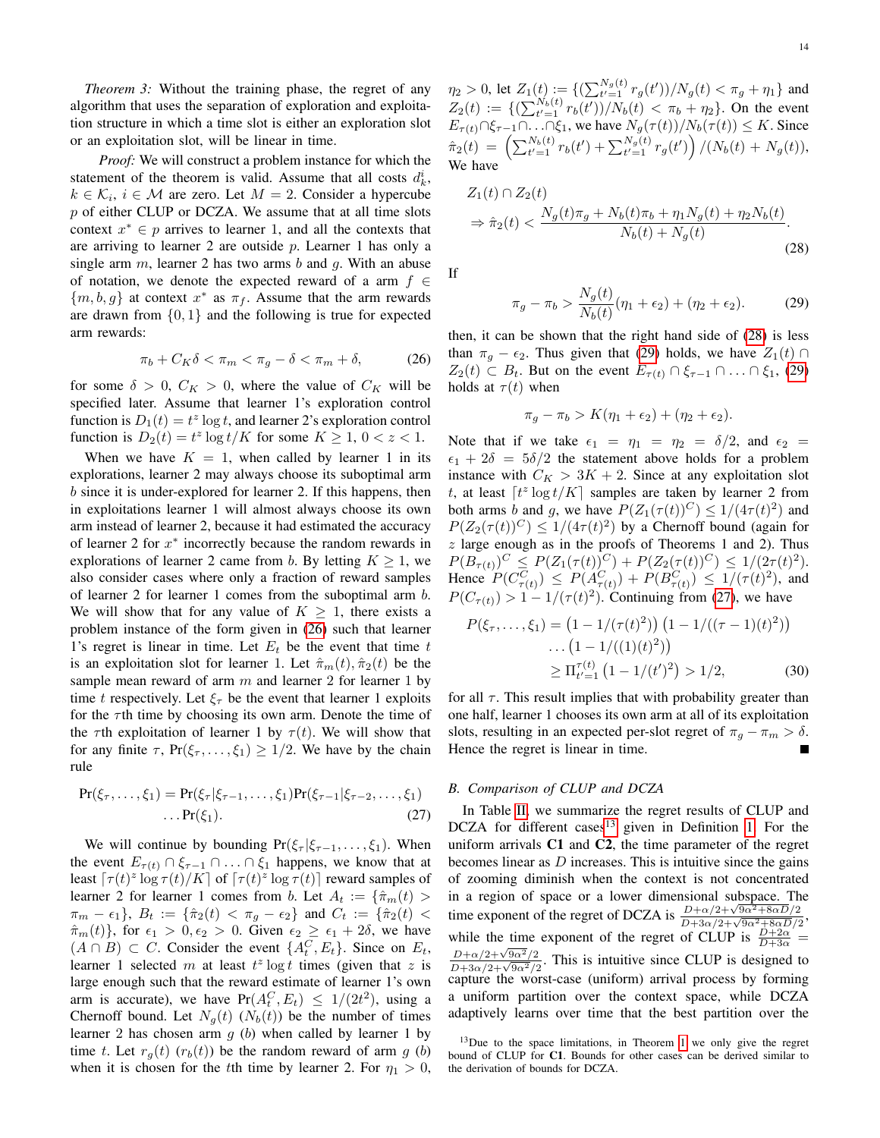*Theorem 3:* Without the training phase, the regret of any algorithm that uses the separation of exploration and exploitation structure in which a time slot is either an exploration slot or an exploitation slot, will be linear in time.

*Proof:* We will construct a problem instance for which the statement of the theorem is valid. Assume that all costs  $d_k^i$ ,  $k \in \mathcal{K}_i$ ,  $i \in \mathcal{M}$  are zero. Let  $M = 2$ . Consider a hypercube  $p$  of either CLUP or DCZA. We assume that at all time slots context  $x^* \in p$  arrives to learner 1, and all the contexts that are arriving to learner 2 are outside  $p$ . Learner 1 has only a single arm  $m$ , learner 2 has two arms  $b$  and  $q$ . With an abuse of notation, we denote the expected reward of a arm  $f \in$  ${m, b, g}$  at context  $x^*$  as  $\pi_f$ . Assume that the arm rewards are drawn from  $\{0, 1\}$  and the following is true for expected arm rewards:

$$
\pi_b + C_K \delta < \pi_m < \pi_g - \delta < \pi_m + \delta,\tag{26}
$$

for some  $\delta > 0$ ,  $C_K > 0$ , where the value of  $C_K$  will be specified later. Assume that learner 1's exploration control function is  $D_1(t) = t^z \log t$ , and learner 2's exploration control function is  $D_2(t) = t^z \log t/K$  for some  $K \ge 1, 0 < z < 1$ .

When we have  $K = 1$ , when called by learner 1 in its explorations, learner 2 may always choose its suboptimal arm b since it is under-explored for learner 2. If this happens, then in exploitations learner 1 will almost always choose its own arm instead of learner 2, because it had estimated the accuracy of learner 2 for  $x^*$  incorrectly because the random rewards in explorations of learner 2 came from b. By letting  $K \geq 1$ , we also consider cases where only a fraction of reward samples of learner 2 for learner 1 comes from the suboptimal arm b. We will show that for any value of  $K \geq 1$ , there exists a problem instance of the form given in [\(26\)](#page-13-0) such that learner 1's regret is linear in time. Let  $E_t$  be the event that time t is an exploitation slot for learner 1. Let  $\hat{\pi}_m(t), \hat{\pi}_2(t)$  be the sample mean reward of arm  $m$  and learner 2 for learner 1 by time t respectively. Let  $\xi_{\tau}$  be the event that learner 1 exploits for the  $\tau$ th time by choosing its own arm. Denote the time of the  $\tau$ th exploitation of learner 1 by  $\tau(t)$ . We will show that for any finite  $\tau$ ,  $Pr(\xi_{\tau}, \ldots, \xi_1) \geq 1/2$ . We have by the chain rule

$$
Pr(\xi_{\tau}, \dots, \xi_1) = Pr(\xi_{\tau} | \xi_{\tau-1}, \dots, \xi_1) Pr(\xi_{\tau-1} | \xi_{\tau-2}, \dots, \xi_1) \dots Pr(\xi_1).
$$
\n(27)

We will continue by bounding  $Pr(\xi_{\tau} | \xi_{\tau-1}, \ldots, \xi_1)$ . When the event  $E_{\tau(t)} \cap \xi_{\tau-1} \cap \ldots \cap \xi_1$  happens, we know that at least  $\lceil \tau(t)^z \log \tau(t)/K \rceil$  of  $\lceil \tau(t)^z \log \tau(t) \rceil$  reward samples of learner 2 for learner 1 comes from b. Let  $A_t := \{ \hat{\pi}_m(t) >$  $\pi_m - \epsilon_1$ ,  $B_t := \{ \hat{\pi}_2(t) < \pi_g - \epsilon_2 \}$  and  $C_t := \{ \hat{\pi}_2(t) <$  $\hat{\pi}_m(t)$ , for  $\epsilon_1 > 0, \epsilon_2 > 0$ . Given  $\epsilon_2 \ge \epsilon_1 + 2\delta$ , we have  $(A \cap B) \subset C$ . Consider the event  $\{A_t^C, E_t\}$ . Since on  $E_t$ , learner 1 selected m at least  $t^z \log t$  times (given that z is large enough such that the reward estimate of learner 1's own arm is accurate), we have  $Pr(A_t^C, E_t) \leq 1/(2t^2)$ , using a Chernoff bound. Let  $N_g(t)$   $(N_b(t))$  be the number of times learner 2 has chosen arm  $g$  (b) when called by learner 1 by time t. Let  $r_q(t)$   $(r_b(t))$  be the random reward of arm g (b) when it is chosen for the tth time by learner 2. For  $\eta_1 > 0$ ,

 $\eta_2 > 0$ , let  $Z_1(t) := \{ (\sum_{t'=1}^{N_g(t)} r_g(t')) / N_g(t) < \pi_g + \eta_1 \}$  and  $Z_2(t) := \{ (\sum_{t'=1}^{N_b(t)} r_b(t')) / N_b(t) < \pi_b + \eta_2 \}.$  On the event  $E_{\tau(t)} \cap \xi_{\tau-1} \cap \ldots \cap \xi_1$ , we have  $N_g(\tau(t))/N_b(\tau(t)) \leq K$ . Since  $\hat{\pi}_2(t) = \left( \sum_{t'=1}^{N_b(t)} r_b(t') + \sum_{t'=1}^{N_g(t)} r_g(t') \right) / (N_b(t) + N_g(t)),$ We have

$$
Z_1(t) \cap Z_2(t) \n\Rightarrow \hat{\pi}_2(t) < \frac{N_g(t)\pi_g + N_b(t)\pi_b + \eta_1 N_g(t) + \eta_2 N_b(t)}{N_b(t) + N_g(t)}.
$$
\n(28)

If

<span id="page-13-2"></span><span id="page-13-1"></span>
$$
\pi_g - \pi_b > \frac{N_g(t)}{N_b(t)} (\eta_1 + \epsilon_2) + (\eta_2 + \epsilon_2).
$$
 (29)

<span id="page-13-0"></span>then, it can be shown that the right hand side of [\(28\)](#page-13-1) is less than  $\pi_q - \epsilon_2$ . Thus given that [\(29\)](#page-13-2) holds, we have  $Z_1(t) \cap$  $Z_2(t) \subset B_t$ . But on the event  $E_{\tau(t)} \cap \xi_{\tau-1} \cap \ldots \cap \xi_1$ , [\(29\)](#page-13-2) holds at  $\tau(t)$  when

$$
\pi_g - \pi_b > K(\eta_1 + \epsilon_2) + (\eta_2 + \epsilon_2).
$$

Note that if we take  $\epsilon_1 = \eta_1 = \eta_2 = \delta/2$ , and  $\epsilon_2 =$  $\epsilon_1 + 2\delta = 5\delta/2$  the statement above holds for a problem instance with  $C_K > 3K + 2$ . Since at any exploitation slot t, at least  $\lceil t^z \log t/K \rceil$  samples are taken by learner 2 from both arms b and g, we have  $P(Z_1(\tau(t))^C) \leq 1/(4\tau(t)^2)$  and  $P(Z_2(\tau(t))^C) \le 1/(4\tau(t)^2)$  by a Chernoff bound (again for  $z$  large enough as in the proofs of Theorems 1 and 2). Thus  $P(B_{\tau(t)})^C \leq P(Z_1(\tau(t))^C) + P(Z_2(\tau(t))^C) \leq 1/(2\tau(t)^2).$ Hence  $P(C_{\tau(t)}^C) \le P(A_{\tau(t)}^C) + P(B_{\tau(t)}^C) \le 1/(\tau(t)^2)$ , and  $P(C_{\tau(t)}) > 1 - 1/(\tau(t)^2)$ . Continuing from [\(27\)](#page-13-3), we have

$$
P(\xi_{\tau}, \dots, \xi_1) = (1 - 1/(\tau(t)^2)) (1 - 1/((\tau - 1)(t)^2))
$$
  
 
$$
\dots (1 - 1/((1)(t)^2))
$$
  
\n
$$
\ge \Pi_{t'=1}^{\tau(t)} (1 - 1/(t')^2) > 1/2,
$$
 (30)

for all  $\tau$ . This result implies that with probability greater than one half, learner 1 chooses its own arm at all of its exploitation slots, resulting in an expected per-slot regret of  $\pi_g - \pi_m > \delta$ . Hence the regret is linear in time.

## *B. Comparison of CLUP and DCZA*

<span id="page-13-3"></span>In Table [II,](#page-14-0) we summarize the regret results of CLUP and DCZA for different cases<sup>[13](#page-13-4)</sup> given in Definition [1.](#page-10-3) For the uniform arrivals  $C1$  and  $C2$ , the time parameter of the regret becomes linear as  $D$  increases. This is intuitive since the gains of zooming diminish when the context is not concentrated in a region of space or a lower dimensional subspace. The time exponent of the regret of DCZA is  $\frac{D+\alpha/2+\sqrt{9\alpha^2+8\alpha D}/2}{D+3\alpha/2+\sqrt{9\alpha^2+8\alpha D}/2}$ , while the time exponent of the regret of CLUP is  $\frac{D+2\alpha}{D+3\alpha}$  =  $\frac{D+\alpha/2+\sqrt{9\alpha^2}/2}{D+3\alpha/2+\sqrt{9\alpha^2}/2}$ . This is intuitive since CLUP is designed to capture the worst-case (uniform) arrival process by forming a uniform partition over the context space, while DCZA adaptively learns over time that the best partition over the

<span id="page-13-4"></span> $13$ Due to the space limitations, in Theorem [1](#page-8-5) we only give the regret bound of CLUP for C1. Bounds for other cases can be derived similar to the derivation of bounds for DCZA.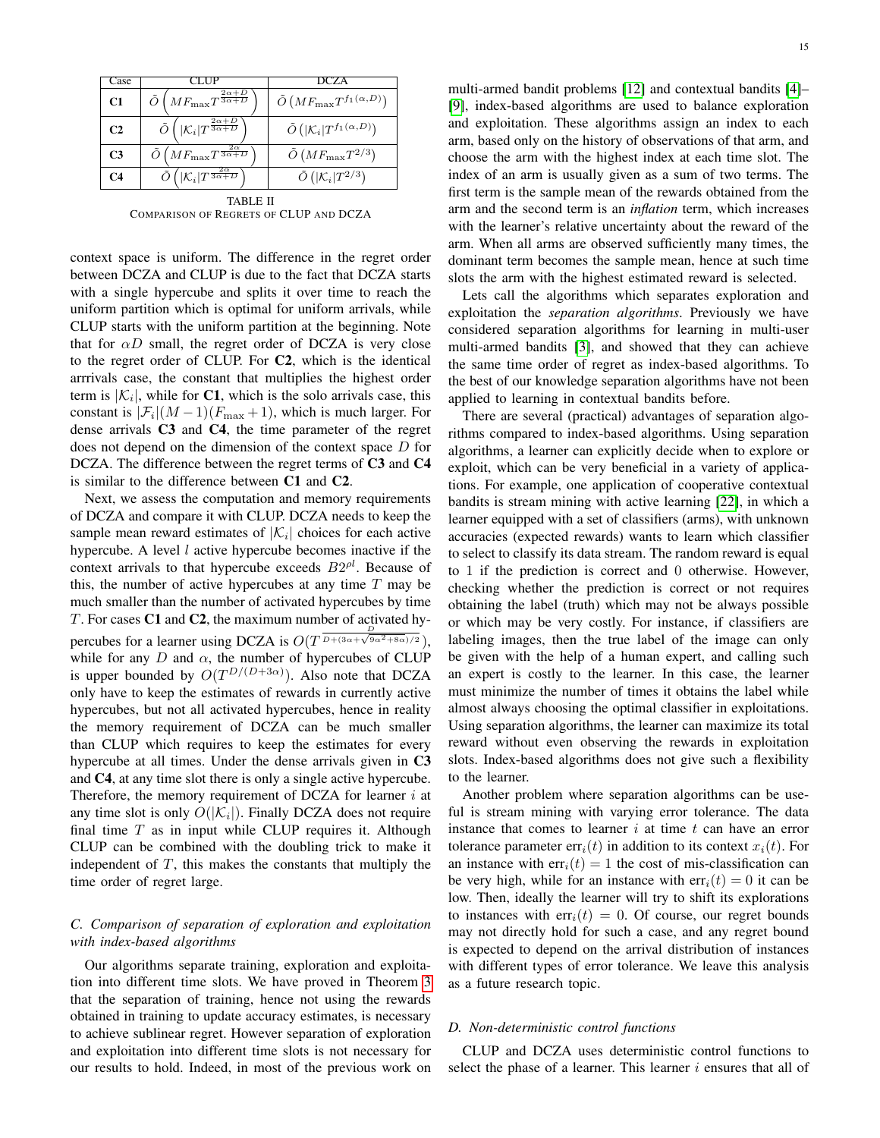| Case           |                                                                                   |                                               |  |  |
|----------------|-----------------------------------------------------------------------------------|-----------------------------------------------|--|--|
| C1             | $\tilde{O} \left(MF_{\rm max}T^{\frac{2\overline{\alpha}+D}{3\alpha+D}}\right)$   | $\tilde{O}(MF_{\text{max}}T^{f_1(\alpha,D)})$ |  |  |
| C <sub>2</sub> | $\tilde{O}\left( \mathcal{K}_i T^{\frac{\overline{2\alpha+D}}{3\alpha+D}}\right)$ | $\tilde{O}( \mathcal{K}_i T^{f_1(\alpha,D)})$ |  |  |
| C <sub>3</sub> | $\tilde{O}\left(MF_{\text{max}}T^{\frac{2\alpha}{3\alpha+D}}\right)$              | $\tilde{O}(MF_{\text{max}}T^{2/3})$           |  |  |
| C4             | $\tilde{O}\left( \mathcal{K}_i T^{\frac{2\alpha}{3\alpha+D}}\right)$              | $\tilde{O}( \mathcal{K}_i T^{2/3})$           |  |  |

TABLE II COMPARISON OF REGRETS OF CLUP AND DCZA

<span id="page-14-0"></span>context space is uniform. The difference in the regret order between DCZA and CLUP is due to the fact that DCZA starts with a single hypercube and splits it over time to reach the uniform partition which is optimal for uniform arrivals, while CLUP starts with the uniform partition at the beginning. Note that for  $\alpha D$  small, the regret order of DCZA is very close to the regret order of CLUP. For C2, which is the identical arrrivals case, the constant that multiplies the highest order term is  $|\mathcal{K}_i|$ , while for C1, which is the solo arrivals case, this constant is  $|\mathcal{F}_i|(M-1)(F_{\text{max}}+1)$ , which is much larger. For dense arrivals C3 and C4, the time parameter of the regret does not depend on the dimension of the context space D for DCZA. The difference between the regret terms of C3 and C4 is similar to the difference between C1 and C2.

Next, we assess the computation and memory requirements of DCZA and compare it with CLUP. DCZA needs to keep the sample mean reward estimates of  $|\mathcal{K}_i|$  choices for each active hypercube. A level  $l$  active hypercube becomes inactive if the context arrivals to that hypercube exceeds  $B2^{pl}$ . Because of this, the number of active hypercubes at any time  $T$  may be much smaller than the number of activated hypercubes by time  $T$ . For cases C1 and C2, the maximum number of activated hypercubes for a learner using DCZA is  $O(T^{\frac{D}{D+(3\alpha+\sqrt{9\alpha^2+8\alpha})/2}})$ , while for any  $D$  and  $\alpha$ , the number of hypercubes of CLUP is upper bounded by  $O(T^{D/(D+3\alpha)})$ . Also note that DCZA only have to keep the estimates of rewards in currently active hypercubes, but not all activated hypercubes, hence in reality the memory requirement of DCZA can be much smaller than CLUP which requires to keep the estimates for every hypercube at all times. Under the dense arrivals given in C3 and C4, at any time slot there is only a single active hypercube. Therefore, the memory requirement of DCZA for learner  $i$  at any time slot is only  $O(|\mathcal{K}_i|)$ . Finally DCZA does not require final time  $T$  as in input while CLUP requires it. Although CLUP can be combined with the doubling trick to make it independent of  $T$ , this makes the constants that multiply the time order of regret large.

# *C. Comparison of separation of exploration and exploitation with index-based algorithms*

Our algorithms separate training, exploration and exploitation into different time slots. We have proved in Theorem [3](#page-12-2) that the separation of training, hence not using the rewards obtained in training to update accuracy estimates, is necessary to achieve sublinear regret. However separation of exploration and exploitation into different time slots is not necessary for our results to hold. Indeed, in most of the previous work on multi-armed bandit problems [\[12\]](#page-16-2) and contextual bandits [\[4\]](#page-15-3)– [\[9\]](#page-15-4), index-based algorithms are used to balance exploration and exploitation. These algorithms assign an index to each arm, based only on the history of observations of that arm, and choose the arm with the highest index at each time slot. The index of an arm is usually given as a sum of two terms. The first term is the sample mean of the rewards obtained from the arm and the second term is an *inflation* term, which increases with the learner's relative uncertainty about the reward of the arm. When all arms are observed sufficiently many times, the dominant term becomes the sample mean, hence at such time slots the arm with the highest estimated reward is selected.

Lets call the algorithms which separates exploration and exploitation the *separation algorithms*. Previously we have considered separation algorithms for learning in multi-user multi-armed bandits [\[3\]](#page-15-2), and showed that they can achieve the same time order of regret as index-based algorithms. To the best of our knowledge separation algorithms have not been applied to learning in contextual bandits before.

There are several (practical) advantages of separation algorithms compared to index-based algorithms. Using separation algorithms, a learner can explicitly decide when to explore or exploit, which can be very beneficial in a variety of applications. For example, one application of cooperative contextual bandits is stream mining with active learning [\[22\]](#page-16-11), in which a learner equipped with a set of classifiers (arms), with unknown accuracies (expected rewards) wants to learn which classifier to select to classify its data stream. The random reward is equal to 1 if the prediction is correct and 0 otherwise. However, checking whether the prediction is correct or not requires obtaining the label (truth) which may not be always possible or which may be very costly. For instance, if classifiers are labeling images, then the true label of the image can only be given with the help of a human expert, and calling such an expert is costly to the learner. In this case, the learner must minimize the number of times it obtains the label while almost always choosing the optimal classifier in exploitations. Using separation algorithms, the learner can maximize its total reward without even observing the rewards in exploitation slots. Index-based algorithms does not give such a flexibility to the learner.

Another problem where separation algorithms can be useful is stream mining with varying error tolerance. The data instance that comes to learner  $i$  at time  $t$  can have an error tolerance parameter err<sub>i</sub> $(t)$  in addition to its context  $x_i(t)$ . For an instance with  $err_i(t) = 1$  the cost of mis-classification can be very high, while for an instance with  $err_i(t) = 0$  it can be low. Then, ideally the learner will try to shift its explorations to instances with  $err_i(t) = 0$ . Of course, our regret bounds may not directly hold for such a case, and any regret bound is expected to depend on the arrival distribution of instances with different types of error tolerance. We leave this analysis as a future research topic.

# *D. Non-deterministic control functions*

CLUP and DCZA uses deterministic control functions to select the phase of a learner. This learner  $i$  ensures that all of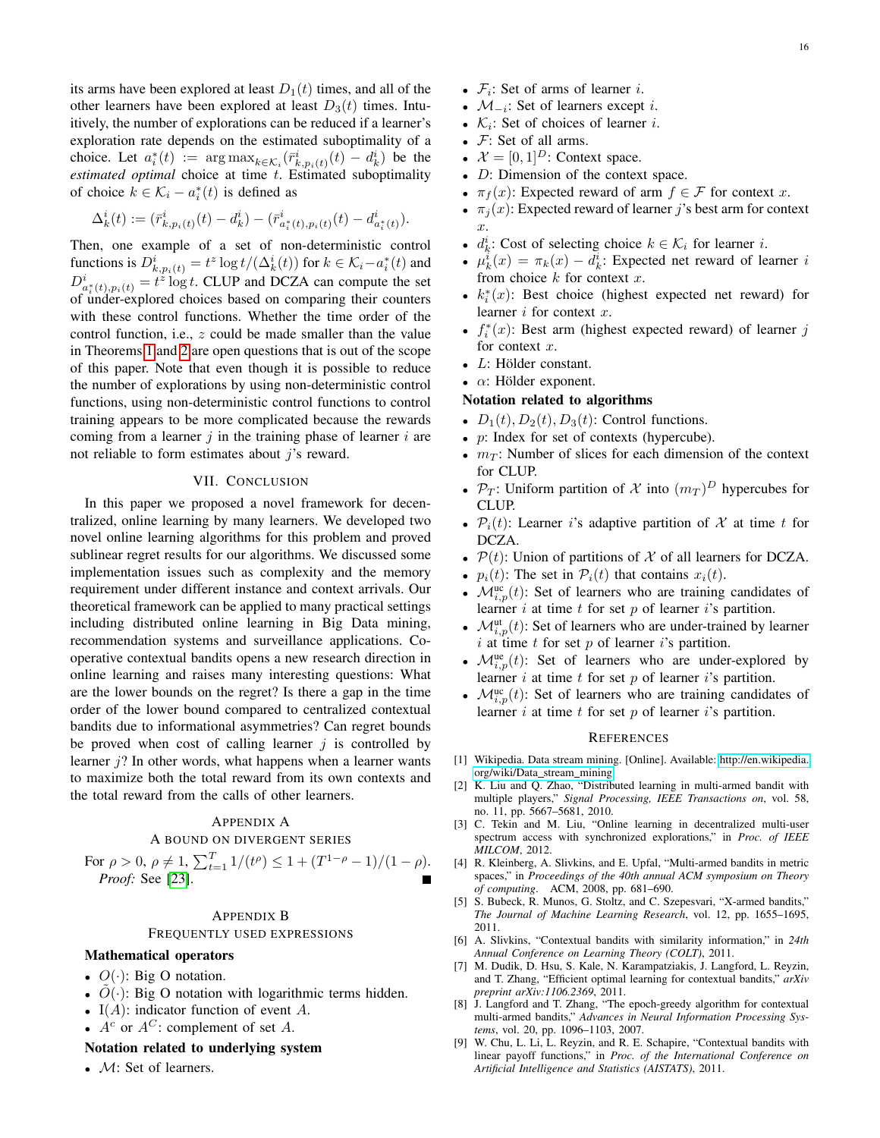its arms have been explored at least  $D_1(t)$  times, and all of the other learners have been explored at least  $D_3(t)$  times. Intuitively, the number of explorations can be reduced if a learner's exploration rate depends on the estimated suboptimality of a choice. Let  $a_i^*(t) := \arg \max_{k \in \mathcal{K}_i} (\bar{r}_{k,p_i(t)}^i(t) - d_k^i)$  be the *estimated optimal* choice at time t. Estimated suboptimality of choice  $k \in \mathcal{K}_i - a_i^*(t)$  is defined as

$$
\Delta^i_k(t) := (\bar{r}^i_{k, p_i(t)}(t) - d^i_k) - (\bar{r}^i_{a^*_i(t), p_i(t)}(t) - d^i_{a^*_i(t)}).
$$

Then, one example of a set of non-deterministic control functions is  $D^i_{k, p_i(t)} = t^z \log t / (\Delta^i_k(t))$  for  $k \in \mathcal{K}_i - a^*_i(t)$  and  $D_{\alpha_i^*(t),p_i(t)}^i = t^2 \log t$ . CLUP and DCZA can compute the set of under-explored choices based on comparing their counters with these control functions. Whether the time order of the control function, i.e., z could be made smaller than the value in Theorems [1](#page-8-5) and [2](#page-12-3) are open questions that is out of the scope of this paper. Note that even though it is possible to reduce the number of explorations by using non-deterministic control functions, using non-deterministic control functions to control training appears to be more complicated because the rewards coming from a learner  $j$  in the training phase of learner  $i$  are not reliable to form estimates about  $j$ 's reward.

## VII. CONCLUSION

<span id="page-15-5"></span>In this paper we proposed a novel framework for decentralized, online learning by many learners. We developed two novel online learning algorithms for this problem and proved sublinear regret results for our algorithms. We discussed some implementation issues such as complexity and the memory requirement under different instance and context arrivals. Our theoretical framework can be applied to many practical settings including distributed online learning in Big Data mining, recommendation systems and surveillance applications. Cooperative contextual bandits opens a new research direction in online learning and raises many interesting questions: What are the lower bounds on the regret? Is there a gap in the time order of the lower bound compared to centralized contextual bandits due to informational asymmetries? Can regret bounds be proved when cost of calling learner  $j$  is controlled by learner  $j$ ? In other words, what happens when a learner wants to maximize both the total reward from its own contexts and the total reward from the calls of other learners.

# <span id="page-15-9"></span>APPENDIX A A BOUND ON DIVERGENT SERIES

For  $\rho > 0$ ,  $\rho \neq 1$ ,  $\sum_{t=1}^{T} 1/(t^{\rho}) \leq 1 + (T^{1-\rho} - 1)/(1-\rho)$ . *Proof:* See [\[23\]](#page-16-12).

## APPENDIX B

## FREQUENTLY USED EXPRESSIONS

## Mathematical operators

- $O(\cdot)$ : Big O notation.
- $O(\cdot)$ : Big O notation with logarithmic terms hidden.
- $I(A)$ : indicator function of event A.
- $A^c$  or  $A^C$ : complement of set A.

#### Notation related to underlying system

• M: Set of learners.

- $\mathcal{F}_i$ : Set of arms of learner *i*.
- $M_{-i}$ : Set of learners except *i*.
- $K_i$ : Set of choices of learner *i*.
- $F$ : Set of all arms.
- $\mathcal{X} = [0, 1]^D$ : Context space.
- *D*: Dimension of the context space.
- $\pi_f(x)$ : Expected reward of arm  $f \in \mathcal{F}$  for context x.
- $\pi_i(x)$ : Expected reward of learner j's best arm for context x.
- $d_k^i$ : Cost of selecting choice  $k \in \mathcal{K}_i$  for learner *i*.
- $\mu_k^i(x) = \pi_k(x) d_k^i$ : Expected net reward of learner i from choice  $k$  for context  $x$ .
- $k_i^*(x)$ : Best choice (highest expected net reward) for learner  $i$  for context  $x$ .
- $f_i^*(x)$ : Best arm (highest expected reward) of learner j for context x.
- $L$ : Hölder constant.
- $\alpha$ : Hölder exponent.
- Notation related to algorithms
- $D_1(t)$ ,  $D_2(t)$ ,  $D_3(t)$ : Control functions.
- $p$ : Index for set of contexts (hypercube).
- $m<sub>T</sub>$ : Number of slices for each dimension of the context for CLUP.
- $\mathcal{P}_T$ : Uniform partition of X into  $(m_T)^D$  hypercubes for CLUP.
- $\mathcal{P}_i(t)$ : Learner i's adaptive partition of X at time t for DCZA.
- $P(t)$ : Union of partitions of X of all learners for DCZA.
- $p_i(t)$ : The set in  $P_i(t)$  that contains  $x_i(t)$ .
- $\mathcal{M}_{i,p}^{\text{uc}}(t)$ : Set of learners who are training candidates of learner  $i$  at time  $t$  for set  $p$  of learner  $i$ 's partition.
- $\blacktriangleright \mathcal{M}_{i,p}^{\text{ut}}(t)$ : Set of learners who are under-trained by learner  $i$  at time  $t$  for set  $p$  of learner  $i$ 's partition.
- $\mathcal{M}_{i,p}^{\text{ue}}(t)$ : Set of learners who are under-explored by learner  $i$  at time  $t$  for set  $p$  of learner  $i$ 's partition.
- $\mathcal{M}_{i,p}^{\text{uc}}(t)$ : Set of learners who are training candidates of learner  $i$  at time  $t$  for set  $p$  of learner  $i$ 's partition.

#### **REFERENCES**

- <span id="page-15-0"></span>[1] Wikipedia. Data stream mining. [Online]. Available: [http://en.wikipedia.](http://en.wikipedia.org/wiki/Data_stream_mining) [org/wiki/Data](http://en.wikipedia.org/wiki/Data_stream_mining)\_stream\_mining
- <span id="page-15-1"></span>[2] K. Liu and Q. Zhao, "Distributed learning in multi-armed bandit with multiple players," *Signal Processing, IEEE Transactions on*, vol. 58, no. 11, pp. 5667–5681, 2010.
- <span id="page-15-2"></span>[3] C. Tekin and M. Liu, "Online learning in decentralized multi-user spectrum access with synchronized explorations," in *Proc. of IEEE MILCOM*, 2012.
- <span id="page-15-3"></span>[4] R. Kleinberg, A. Slivkins, and E. Upfal, "Multi-armed bandits in metric spaces," in *Proceedings of the 40th annual ACM symposium on Theory of computing*. ACM, 2008, pp. 681–690.
- <span id="page-15-8"></span>[5] S. Bubeck, R. Munos, G. Stoltz, and C. Szepesvari, "X-armed bandits," *The Journal of Machine Learning Research*, vol. 12, pp. 1655–1695, 2011.
- <span id="page-15-6"></span>[6] A. Slivkins, "Contextual bandits with similarity information," in *24th Annual Conference on Learning Theory (COLT)*, 2011.
- [7] M. Dudik, D. Hsu, S. Kale, N. Karampatziakis, J. Langford, L. Reyzin, and T. Zhang, "Efficient optimal learning for contextual bandits," *arXiv preprint arXiv:1106.2369*, 2011.
- <span id="page-15-7"></span>[8] J. Langford and T. Zhang, "The epoch-greedy algorithm for contextual multi-armed bandits," *Advances in Neural Information Processing Systems*, vol. 20, pp. 1096–1103, 2007.
- <span id="page-15-4"></span>[9] W. Chu, L. Li, L. Reyzin, and R. E. Schapire, "Contextual bandits with linear payoff functions," in *Proc. of the International Conference on Artificial Intelligence and Statistics (AISTATS)*, 2011.